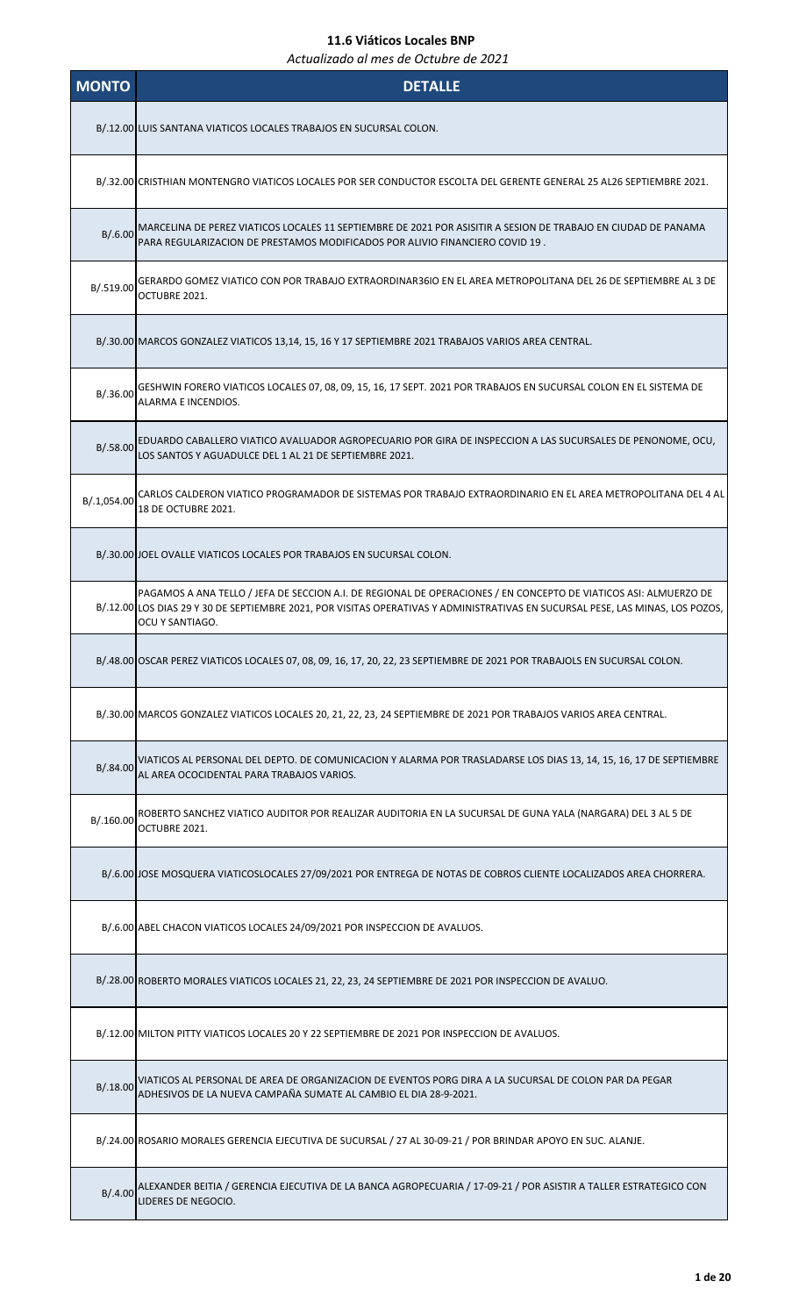| <b>MONTO</b> | <b>DETALLE</b>                                                                                                                                                                                                                                                        |
|--------------|-----------------------------------------------------------------------------------------------------------------------------------------------------------------------------------------------------------------------------------------------------------------------|
|              | B/.12.00 LUIS SANTANA VIATICOS LOCALES TRABAJOS EN SUCURSAL COLON.                                                                                                                                                                                                    |
|              | B/.32.00 CRISTHIAN MONTENGRO VIATICOS LOCALES POR SER CONDUCTOR ESCOLTA DEL GERENTE GENERAL 25 AL26 SEPTIEMBRE 2021.                                                                                                                                                  |
| B/0.600      | MARCELINA DE PEREZ VIATICOS LOCALES 11 SEPTIEMBRE DE 2021 POR ASISITIR A SESION DE TRABAJO EN CIUDAD DE PANAMA<br>PARA REGULARIZACION DE PRESTAMOS MODIFICADOS POR ALIVIO FINANCIERO COVID 19.                                                                        |
| B/.519.00    | GERARDO GOMEZ VIATICO CON POR TRABAJO EXTRAORDINAR36IO EN EL AREA METROPOLITANA DEL 26 DE SEPTIEMBRE AL 3 DE<br>OCTUBRE 2021.                                                                                                                                         |
|              | B/.30.00 MARCOS GONZALEZ VIATICOS 13,14, 15, 16 Y 17 SEPTIEMBRE 2021 TRABAJOS VARIOS AREA CENTRAL.                                                                                                                                                                    |
| B/.36.00     | GESHWIN FORERO VIATICOS LOCALES 07, 08, 09, 15, 16, 17 SEPT. 2021 POR TRABAJOS EN SUCURSAL COLON EN EL SISTEMA DE<br>ALARMA E INCENDIOS.                                                                                                                              |
| B/.58.00     | EDUARDO CABALLERO VIATICO AVALUADOR AGROPECUARIO POR GIRA DE INSPECCION A LAS SUCURSALES DE PENONOME, OCU,<br>LOS SANTOS Y AGUADULCE DEL 1 AL 21 DE SEPTIEMBRE 2021.                                                                                                  |
| B/.1,054.00  | CARLOS CALDERON VIATICO PROGRAMADOR DE SISTEMAS POR TRABAJO EXTRAORDINARIO EN EL AREA METROPOLITANA DEL 4 AL<br>18 DE OCTUBRE 2021.                                                                                                                                   |
|              | B/.30.00 JOEL OVALLE VIATICOS LOCALES POR TRABAJOS EN SUCURSAL COLON.                                                                                                                                                                                                 |
|              | PAGAMOS A ANA TELLO / JEFA DE SECCION A.I. DE REGIONAL DE OPERACIONES / EN CONCEPTO DE VIATICOS ASI: ALMUERZO DE<br>B/.12.00 LOS DIAS 29 Y 30 DE SEPTIEMBRE 2021, POR VISITAS OPERATIVAS Y ADMINISTRATIVAS EN SUCURSAL PESE, LAS MINAS, LOS POZOS,<br>OCU Y SANTIAGO. |
|              | B/.48.00 OSCAR PEREZ VIATICOS LOCALES 07, 08, 09, 16, 17, 20, 22, 23 SEPTIEMBRE DE 2021 POR TRABAJOLS EN SUCURSAL COLON.                                                                                                                                              |
|              | B/.30.00 MARCOS GONZALEZ VIATICOS LOCALES 20, 21, 22, 23, 24 SEPTIEMBRE DE 2021 POR TRABAJOS VARIOS AREA CENTRAL.                                                                                                                                                     |
|              | B/.84.00 VIATICOS AL PERSONAL DEL DEPTO. DE COMUNICACION Y ALARMA POR TRASLADARSE LOS DIAS 13, 14, 15, 16, 17 DE SEPTIEMBRE<br>AL AREA OCOCIDENTAL PARA TRABAJOS VARIOS.                                                                                              |
| B/.160.00    | ROBERTO SANCHEZ VIATICO AUDITOR POR REALIZAR AUDITORIA EN LA SUCURSAL DE GUNA YALA (NARGARA) DEL 3 AL 5 DE<br>OCTUBRE 2021.                                                                                                                                           |
|              | B/.6.00 JOSE MOSQUERA VIATICOSLOCALES 27/09/2021 POR ENTREGA DE NOTAS DE COBROS CLIENTE LOCALIZADOS AREA CHORRERA.                                                                                                                                                    |
|              | B/.6.00 ABEL CHACON VIATICOS LOCALES 24/09/2021 POR INSPECCION DE AVALUOS.                                                                                                                                                                                            |
|              | B/.28.00 ROBERTO MORALES VIATICOS LOCALES 21, 22, 23, 24 SEPTIEMBRE DE 2021 POR INSPECCION DE AVALUO.                                                                                                                                                                 |
|              | B/.12.00 MILTON PITTY VIATICOS LOCALES 20 Y 22 SEPTIEMBRE DE 2021 POR INSPECCION DE AVALUOS.                                                                                                                                                                          |
|              | B/.18.00 VIATICOS AL PERSONAL DE AREA DE ORGANIZACION DE EVENTOS PORG DIRA A LA SUCURSAL DE COLON PAR DA PEGAR<br>ADHESIVOS DE LA NUEVA CAMPAÑA SUMATE AL CAMBIO EL DIA 28-9-2021.                                                                                    |
|              | B/.24.00 ROSARIO MORALES GERENCIA EJECUTIVA DE SUCURSAL / 27 AL 30-09-21 / POR BRINDAR APOYO EN SUC. ALANJE.                                                                                                                                                          |
| B/0.4.00     | ALEXANDER BEITIA / GERENCIA EJECUTIVA DE LA BANCA AGROPECUARIA / 17-09-21 / POR ASISTIR A TALLER ESTRATEGICO CON<br>LIDERES DE NEGOCIO.                                                                                                                               |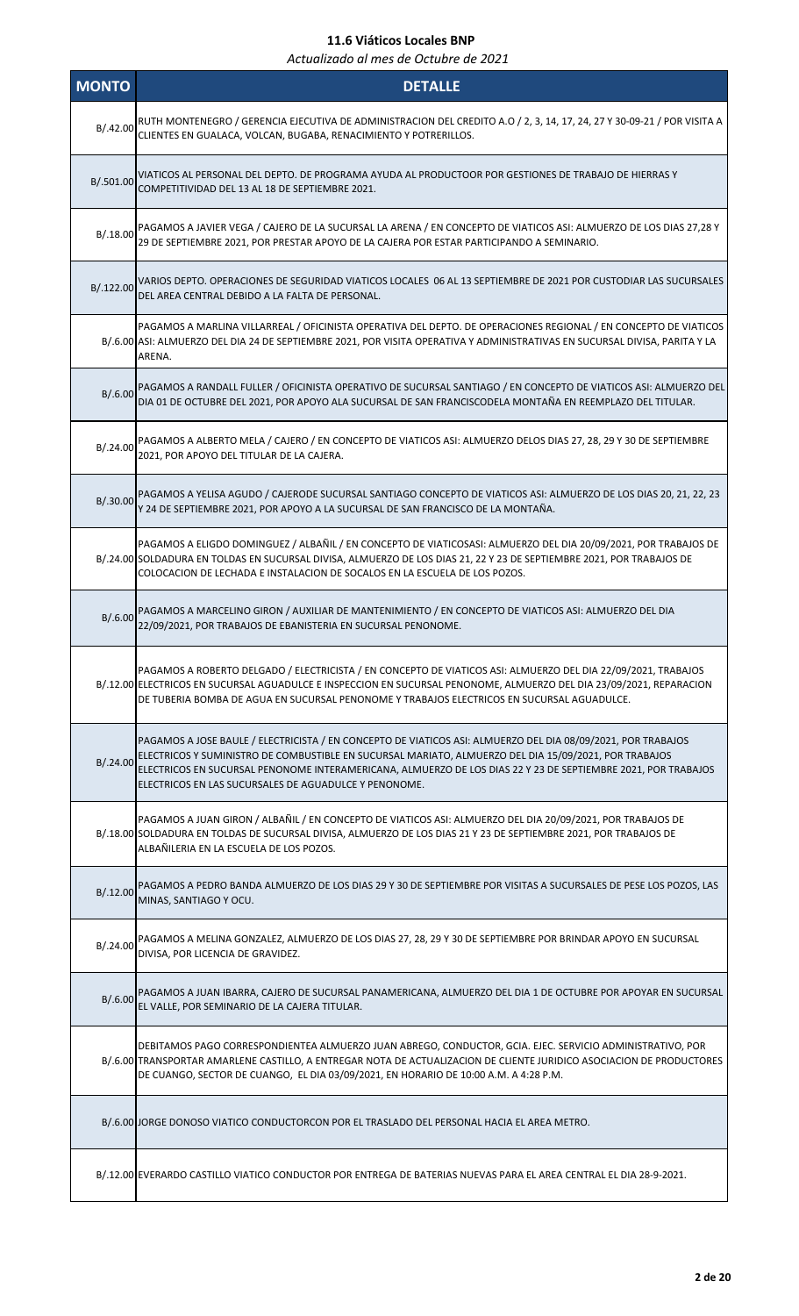| <b>MONTO</b> | <b>DETALLE</b>                                                                                                                                                                                                                                                                                                                                                                                  |
|--------------|-------------------------------------------------------------------------------------------------------------------------------------------------------------------------------------------------------------------------------------------------------------------------------------------------------------------------------------------------------------------------------------------------|
| B/.42.00     | RUTH MONTENEGRO / GERENCIA EJECUTIVA DE ADMINISTRACION DEL CREDITO A.O / 2, 3, 14, 17, 24, 27 Y 30-09-21 / POR VISITA A<br>CLIENTES EN GUALACA, VOLCAN, BUGABA, RENACIMIENTO Y POTRERILLOS.                                                                                                                                                                                                     |
| B/.501.00    | VIATICOS AL PERSONAL DEL DEPTO. DE PROGRAMA AYUDA AL PRODUCTOOR POR GESTIONES DE TRABAJO DE HIERRAS Y<br>COMPETITIVIDAD DEL 13 AL 18 DE SEPTIEMBRE 2021.                                                                                                                                                                                                                                        |
| B/.18.00     | PAGAMOS A JAVIER VEGA / CAJERO DE LA SUCURSAL LA ARENA / EN CONCEPTO DE VIATICOS ASI: ALMUERZO DE LOS DIAS 27,28 Y<br>29 DE SEPTIEMBRE 2021, POR PRESTAR APOYO DE LA CAJERA POR ESTAR PARTICIPANDO A SEMINARIO.                                                                                                                                                                                 |
| B/.122.00    | VARIOS DEPTO. OPERACIONES DE SEGURIDAD VIATICOS LOCALES 06 AL 13 SEPTIEMBRE DE 2021 POR CUSTODIAR LAS SUCURSALES<br>DEL AREA CENTRAL DEBIDO A LA FALTA DE PERSONAL.                                                                                                                                                                                                                             |
|              | PAGAMOS A MARLINA VILLARREAL / OFICINISTA OPERATIVA DEL DEPTO. DE OPERACIONES REGIONAL / EN CONCEPTO DE VIATICOS<br>B/.6.00 ASI: ALMUERZO DEL DIA 24 DE SEPTIEMBRE 2021, POR VISITA OPERATIVA Y ADMINISTRATIVAS EN SUCURSAL DIVISA, PARITA Y LA<br>ARENA.                                                                                                                                       |
| B/.6.00      | PAGAMOS A RANDALL FULLER / OFICINISTA OPERATIVO DE SUCURSAL SANTIAGO / EN CONCEPTO DE VIATICOS ASI: ALMUERZO DEL<br>DIA 01 DE OCTUBRE DEL 2021, POR APOYO ALA SUCURSAL DE SAN FRANCISCODELA MONTAÑA EN REEMPLAZO DEL TITULAR.                                                                                                                                                                   |
| B/.24.00     | PAGAMOS A ALBERTO MELA / CAJERO / EN CONCEPTO DE VIATICOS ASI: ALMUERZO DELOS DIAS 27, 28, 29 Y 30 DE SEPTIEMBRE<br>2021, POR APOYO DEL TITULAR DE LA CAJERA.                                                                                                                                                                                                                                   |
| B/.30.00     | PAGAMOS A YELISA AGUDO / CAJERODE SUCURSAL SANTIAGO CONCEPTO DE VIATICOS ASI: ALMUERZO DE LOS DIAS 20, 21, 22, 23<br>Y 24 DE SEPTIEMBRE 2021, POR APOYO A LA SUCURSAL DE SAN FRANCISCO DE LA MONTAÑA.                                                                                                                                                                                           |
|              | PAGAMOS A ELIGDO DOMINGUEZ / ALBAÑIL / EN CONCEPTO DE VIATICOSASI: ALMUERZO DEL DIA 20/09/2021, POR TRABAJOS DE<br>B/.24.00 SOLDADURA EN TOLDAS EN SUCURSAL DIVISA, ALMUERZO DE LOS DIAS 21, 22 Y 23 DE SEPTIEMBRE 2021, POR TRABAJOS DE<br>COLOCACION DE LECHADA E INSTALACION DE SOCALOS EN LA ESCUELA DE LOS POZOS.                                                                          |
| B/.6.00      | PAGAMOS A MARCELINO GIRON / AUXILIAR DE MANTENIMIENTO / EN CONCEPTO DE VIATICOS ASI: ALMUERZO DEL DIA<br>22/09/2021, POR TRABAJOS DE EBANISTERIA EN SUCURSAL PENONOME.                                                                                                                                                                                                                          |
|              | PAGAMOS A ROBERTO DELGADO / ELECTRICISTA / EN CONCEPTO DE VIATICOS ASI: ALMUERZO DEL DIA 22/09/2021, TRABAJOS<br>B/.12.00 ELECTRICOS EN SUCURSAL AGUADULCE E INSPECCION EN SUCURSAL PENONOME, ALMUERZO DEL DIA 23/09/2021, REPARACION<br>DE TUBERIA BOMBA DE AGUA EN SUCURSAL PENONOME Y TRABAJOS ELECTRICOS EN SUCURSAL AGUADULCE.                                                             |
| B/.24.00     | PAGAMOS A JOSE BAULE / ELECTRICISTA / EN CONCEPTO DE VIATICOS ASI: ALMUERZO DEL DIA 08/09/2021, POR TRABAJOS<br>ELECTRICOS Y SUMINISTRO DE COMBUSTIBLE EN SUCURSAL MARIATO, ALMUERZO DEL DIA 15/09/2021, POR TRABAJOS<br>ELECTRICOS EN SUCURSAL PENONOME INTERAMERICANA, ALMUERZO DE LOS DIAS 22 Y 23 DE SEPTIEMBRE 2021, POR TRABAJOS<br>ELECTRICOS EN LAS SUCURSALES DE AGUADULCE Y PENONOME. |
|              | PAGAMOS A JUAN GIRON / ALBAÑIL / EN CONCEPTO DE VIATICOS ASI: ALMUERZO DEL DIA 20/09/2021, POR TRABAJOS DE<br>B/.18.00 SOLDADURA EN TOLDAS DE SUCURSAL DIVISA, ALMUERZO DE LOS DIAS 21 Y 23 DE SEPTIEMBRE 2021, POR TRABAJOS DE<br>ALBAÑILERIA EN LA ESCUELA DE LOS POZOS.                                                                                                                      |
| B/.12.00     | PAGAMOS A PEDRO BANDA ALMUERZO DE LOS DIAS 29 Y 30 DE SEPTIEMBRE POR VISITAS A SUCURSALES DE PESE LOS POZOS, LAS<br>MINAS, SANTIAGO Y OCU.                                                                                                                                                                                                                                                      |
| B/.24.00     | PAGAMOS A MELINA GONZALEZ, ALMUERZO DE LOS DIAS 27, 28, 29 Y 30 DE SEPTIEMBRE POR BRINDAR APOYO EN SUCURSAL<br>DIVISA, POR LICENCIA DE GRAVIDEZ.                                                                                                                                                                                                                                                |
| B/.6.00      | PAGAMOS A JUAN IBARRA, CAJERO DE SUCURSAL PANAMERICANA, ALMUERZO DEL DIA 1 DE OCTUBRE POR APOYAR EN SUCURSAL<br>EL VALLE, POR SEMINARIO DE LA CAJERA TITULAR.                                                                                                                                                                                                                                   |
|              | DEBITAMOS PAGO CORRESPONDIENTEA ALMUERZO JUAN ABREGO, CONDUCTOR, GCIA. EJEC. SERVICIO ADMINISTRATIVO, POR<br>B/.6.00 TRANSPORTAR AMARLENE CASTILLO, A ENTREGAR NOTA DE ACTUALIZACION DE CLIENTE JURIDICO ASOCIACION DE PRODUCTORES<br>DE CUANGO, SECTOR DE CUANGO, EL DIA 03/09/2021, EN HORARIO DE 10:00 A.M. A 4:28 P.M.                                                                      |
|              | B/.6.00 JORGE DONOSO VIATICO CONDUCTORCON POR EL TRASLADO DEL PERSONAL HACIA EL AREA METRO.                                                                                                                                                                                                                                                                                                     |
|              | B/.12.00 EVERARDO CASTILLO VIATICO CONDUCTOR POR ENTREGA DE BATERIAS NUEVAS PARA EL AREA CENTRAL EL DIA 28-9-2021.                                                                                                                                                                                                                                                                              |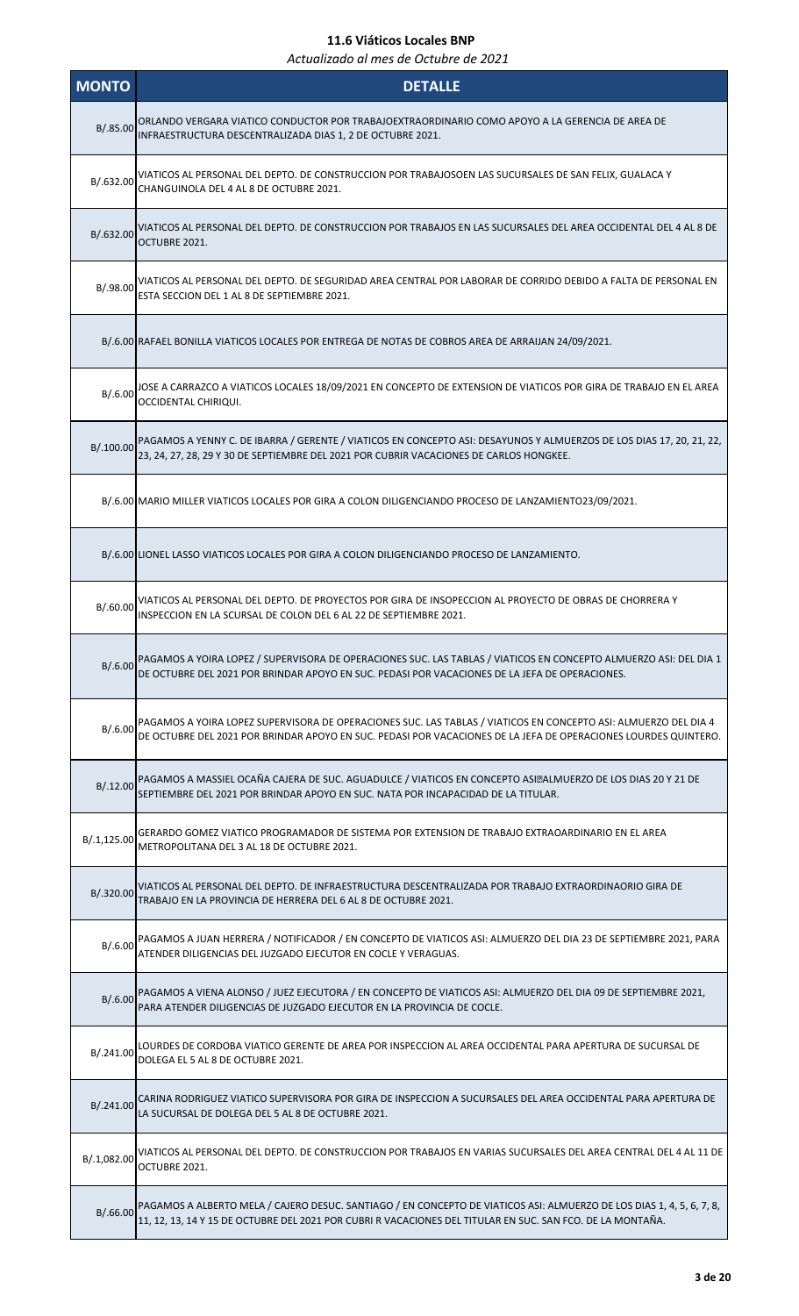| <b>MONTO</b> | <b>DETALLE</b>                                                                                                                                                                                                                      |
|--------------|-------------------------------------------------------------------------------------------------------------------------------------------------------------------------------------------------------------------------------------|
| B/.85.00     | ORLANDO VERGARA VIATICO CONDUCTOR POR TRABAJOEXTRAORDINARIO COMO APOYO A LA GERENCIA DE AREA DE<br>INFRAESTRUCTURA DESCENTRALIZADA DIAS 1, 2 DE OCTUBRE 2021.                                                                       |
| B/.632.00    | VIATICOS AL PERSONAL DEL DEPTO. DE CONSTRUCCION POR TRABAJOSOEN LAS SUCURSALES DE SAN FELIX, GUALACA Y<br>CHANGUINOLA DEL 4 AL 8 DE OCTUBRE 2021.                                                                                   |
| B/.632.00    | VIATICOS AL PERSONAL DEL DEPTO. DE CONSTRUCCION POR TRABAJOS EN LAS SUCURSALES DEL AREA OCCIDENTAL DEL 4 AL 8 DE<br>OCTUBRE 2021.                                                                                                   |
| B/.98.00     | VIATICOS AL PERSONAL DEL DEPTO. DE SEGURIDAD AREA CENTRAL POR LABORAR DE CORRIDO DEBIDO A FALTA DE PERSONAL EN<br>ESTA SECCION DEL 1 AL 8 DE SEPTIEMBRE 2021.                                                                       |
|              | B/.6.00 RAFAEL BONILLA VIATICOS LOCALES POR ENTREGA DE NOTAS DE COBROS AREA DE ARRAIJAN 24/09/2021.                                                                                                                                 |
|              | B/.6.00 JOSE A CARRAZCO A VIATICOS LOCALES 18/09/2021 EN CONCEPTO DE EXTENSION DE VIATICOS POR GIRA DE TRABAJO EN EL AREA<br>OCCIDENTAL CHIRIQUI.                                                                                   |
| B/.100.00    | PAGAMOS A YENNY C. DE IBARRA / GERENTE / VIATICOS EN CONCEPTO ASI: DESAYUNOS Y ALMUERZOS DE LOS DIAS 17, 20, 21, 22,<br>23, 24, 27, 28, 29 Y 30 DE SEPTIEMBRE DEL 2021 POR CUBRIR VACACIONES DE CARLOS HONGKEE.                     |
|              | B/.6.00 MARIO MILLER VIATICOS LOCALES POR GIRA A COLON DILIGENCIANDO PROCESO DE LANZAMIENTO23/09/2021.                                                                                                                              |
|              | B/.6.00 LIONEL LASSO VIATICOS LOCALES POR GIRA A COLON DILIGENCIANDO PROCESO DE LANZAMIENTO.                                                                                                                                        |
| B/0.60.00    | VIATICOS AL PERSONAL DEL DEPTO. DE PROYECTOS POR GIRA DE INSOPECCION AL PROYECTO DE OBRAS DE CHORRERA Y<br>INSPECCION EN LA SCURSAL DE COLON DEL 6 AL 22 DE SEPTIEMBRE 2021.                                                        |
| B/.6.00      | PAGAMOS A YOIRA LOPEZ / SUPERVISORA DE OPERACIONES SUC. LAS TABLAS / VIATICOS EN CONCEPTO ALMUERZO ASI: DEL DIA 1<br>DE OCTUBRE DEL 2021 POR BRINDAR APOYO EN SUC. PEDASI POR VACACIONES DE LA JEFA DE OPERACIONES.                 |
| B/.6.00      | PAGAMOS A YOIRA LOPEZ SUPERVISORA DE OPERACIONES SUC. LAS TABLAS / VIATICOS EN CONCEPTO ASI: ALMUERZO DEL DIA 4<br>DE OCTUBRE DEL 2021 POR BRINDAR APOYO EN SUC. PEDASI POR VACACIONES DE LA JEFA DE OPERACIONES LOURDES QUINTERO.  |
| B/.12.00     | PAGAMOS A MASSIEL OCAÑA CAJERA DE SUC. AGUADULCE / VIATICOS EN CONCEPTO ASI, ALMUERZO DE LOS DIAS 20 Y 21 DE<br>SEPTIEMBRE DEL 2021 POR BRINDAR APOYO EN SUC. NATA POR INCAPACIDAD DE LA TITULAR.                                   |
| B/.1,125.00  | GERARDO GOMEZ VIATICO PROGRAMADOR DE SISTEMA POR EXTENSION DE TRABAJO EXTRAOARDINARIO EN EL AREA<br>METROPOLITANA DEL 3 AL 18 DE OCTUBRE 2021.                                                                                      |
| B/.320.00    | VIATICOS AL PERSONAL DEL DEPTO. DE INFRAESTRUCTURA DESCENTRALIZADA POR TRABAJO EXTRAORDINAORIO GIRA DE<br>TRABAJO EN LA PROVINCIA DE HERRERA DEL 6 AL 8 DE OCTUBRE 2021.                                                            |
| B/.6.00      | PAGAMOS A JUAN HERRERA / NOTIFICADOR / EN CONCEPTO DE VIATICOS ASI: ALMUERZO DEL DIA 23 DE SEPTIEMBRE 2021, PARA<br>ATENDER DILIGENCIAS DEL JUZGADO EJECUTOR EN COCLE Y VERAGUAS.                                                   |
| B/.6.00      | PAGAMOS A VIENA ALONSO / JUEZ EJECUTORA / EN CONCEPTO DE VIATICOS ASI: ALMUERZO DEL DIA 09 DE SEPTIEMBRE 2021,<br>PARA ATENDER DILIGENCIAS DE JUZGADO EJECUTOR EN LA PROVINCIA DE COCLE.                                            |
| B/.241.00    | LOURDES DE CORDOBA VIATICO GERENTE DE AREA POR INSPECCION AL AREA OCCIDENTAL PARA APERTURA DE SUCURSAL DE<br>DOLEGA EL 5 AL 8 DE OCTUBRE 2021.                                                                                      |
| B/.241.00    | CARINA RODRIGUEZ VIATICO SUPERVISORA POR GIRA DE INSPECCION A SUCURSALES DEL AREA OCCIDENTAL PARA APERTURA DE<br>LA SUCURSAL DE DOLEGA DEL 5 AL 8 DE OCTUBRE 2021.                                                                  |
| B/.1,082.00  | VIATICOS AL PERSONAL DEL DEPTO. DE CONSTRUCCION POR TRABAJOS EN VARIAS SUCURSALES DEL AREA CENTRAL DEL 4 AL 11 DE<br>OCTUBRE 2021.                                                                                                  |
| B/.66.00     | PAGAMOS A ALBERTO MELA / CAJERO DESUC. SANTIAGO / EN CONCEPTO DE VIATICOS ASI: ALMUERZO DE LOS DIAS 1, 4, 5, 6, 7, 8,<br>11, 12, 13, 14 Y 15 DE OCTUBRE DEL 2021 POR CUBRI R VACACIONES DEL TITULAR EN SUC. SAN FCO. DE LA MONTAÑA. |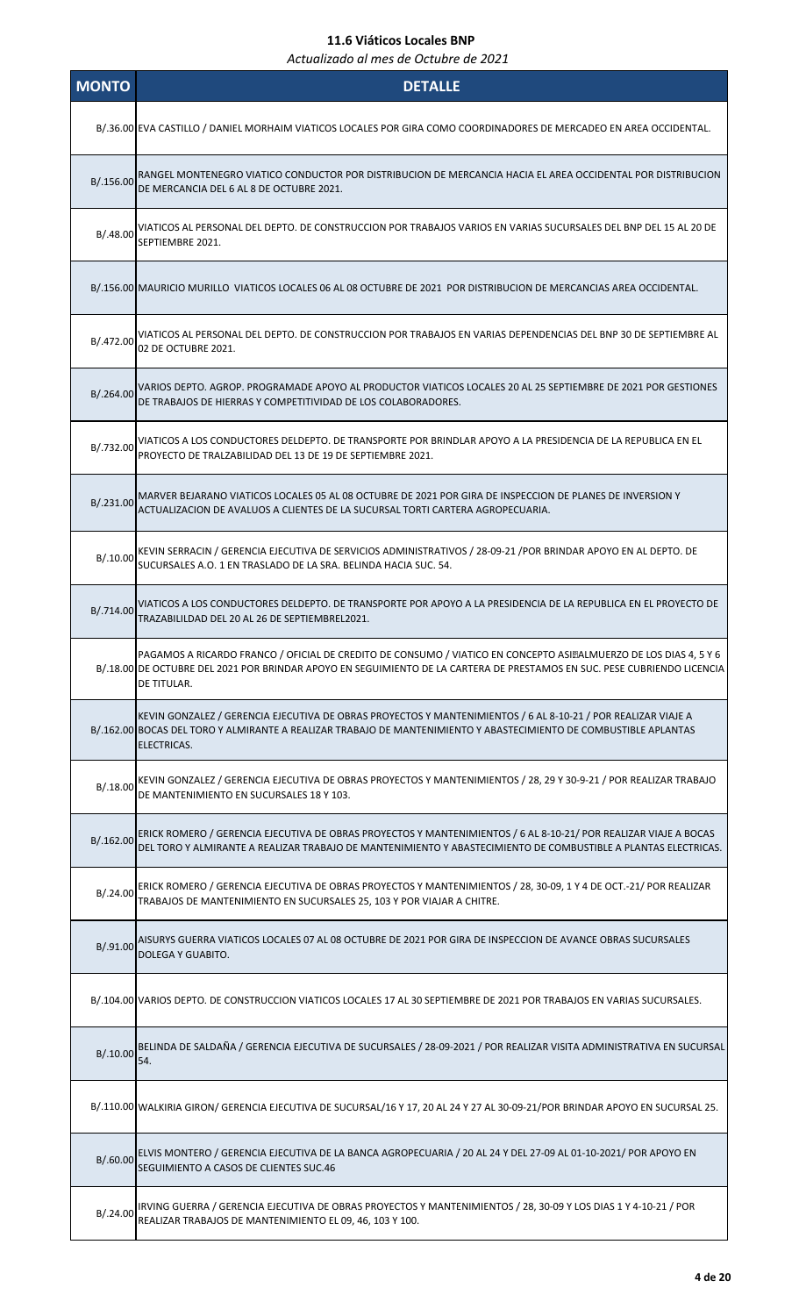| <b>MONTO</b> | <b>DETALLE</b>                                                                                                                                                                                                                                               |
|--------------|--------------------------------------------------------------------------------------------------------------------------------------------------------------------------------------------------------------------------------------------------------------|
|              | B/.36.00 EVA CASTILLO / DANIEL MORHAIM VIATICOS LOCALES POR GIRA COMO COORDINADORES DE MERCADEO EN AREA OCCIDENTAL.                                                                                                                                          |
| B/.156.00    | RANGEL MONTENEGRO VIATICO CONDUCTOR POR DISTRIBUCION DE MERCANCIA HACIA EL AREA OCCIDENTAL POR DISTRIBUCION<br>DE MERCANCIA DEL 6 AL 8 DE OCTUBRE 2021.                                                                                                      |
| B/0.48.00    | VIATICOS AL PERSONAL DEL DEPTO. DE CONSTRUCCION POR TRABAJOS VARIOS EN VARIAS SUCURSALES DEL BNP DEL 15 AL 20 DE<br>SEPTIEMBRE 2021.                                                                                                                         |
|              | B/.156.00 MAURICIO MURILLO VIATICOS LOCALES 06 AL 08 OCTUBRE DE 2021 POR DISTRIBUCION DE MERCANCIAS AREA OCCIDENTAL.                                                                                                                                         |
| B/.472.00    | VIATICOS AL PERSONAL DEL DEPTO. DE CONSTRUCCION POR TRABAJOS EN VARIAS DEPENDENCIAS DEL BNP 30 DE SEPTIEMBRE AL<br>02 DE OCTUBRE 2021.                                                                                                                       |
| B/.264.00    | VARIOS DEPTO. AGROP. PROGRAMADE APOYO AL PRODUCTOR VIATICOS LOCALES 20 AL 25 SEPTIEMBRE DE 2021 POR GESTIONES<br>DE TRABAJOS DE HIERRAS Y COMPETITIVIDAD DE LOS COLABORADORES.                                                                               |
| B/.732.00    | VIATICOS A LOS CONDUCTORES DELDEPTO. DE TRANSPORTE POR BRINDLAR APOYO A LA PRESIDENCIA DE LA REPUBLICA EN EL<br>PROYECTO DE TRALZABILIDAD DEL 13 DE 19 DE SEPTIEMBRE 2021.                                                                                   |
| B/.231.00    | MARVER BEJARANO VIATICOS LOCALES 05 AL 08 OCTUBRE DE 2021 POR GIRA DE INSPECCION DE PLANES DE INVERSION Y<br>ACTUALIZACION DE AVALUOS A CLIENTES DE LA SUCURSAL TORTI CARTERA AGROPECUARIA.                                                                  |
| B/.10.00     | KEVIN SERRACIN / GERENCIA EJECUTIVA DE SERVICIOS ADMINISTRATIVOS / 28-09-21 / POR BRINDAR APOYO EN AL DEPTO. DE<br>SUCURSALES A.O. 1 EN TRASLADO DE LA SRA. BELINDA HACIA SUC. 54.                                                                           |
| B/.714.00    | VIATICOS A LOS CONDUCTORES DELDEPTO. DE TRANSPORTE POR APOYO A LA PRESIDENCIA DE LA REPUBLICA EN EL PROYECTO DE<br>TRAZABILILDAD DEL 20 AL 26 DE SEPTIEMBREL2021.                                                                                            |
|              | PAGAMOS A RICARDO FRANCO / OFICIAL DE CREDITO DE CONSUMO / VIATICO EN CONCEPTO ASI. ALMUERZO DE LOS DIAS 4, 5 Y 6<br>B/.18.00 DE OCTUBRE DEL 2021 POR BRINDAR APOYO EN SEGUIMIENTO DE LA CARTERA DE PRESTAMOS EN SUC. PESE CUBRIENDO LICENCIA<br>DE TITULAR. |
|              | KEVIN GONZALEZ / GERENCIA EJECUTIVA DE OBRAS PROYECTOS Y MANTENIMIENTOS / 6 AL 8-10-21 / POR REALIZAR VIAJE A<br>B/.162.00 BOCAS DEL TORO Y ALMIRANTE A REALIZAR TRABAJO DE MANTENIMIENTO Y ABASTECIMIENTO DE COMBUSTIBLE APLANTAS<br>ELECTRICAS.            |
| B/.18.00     | KEVIN GONZALEZ / GERENCIA EJECUTIVA DE OBRAS PROYECTOS Y MANTENIMIENTOS / 28, 29 Y 30-9-21 / POR REALIZAR TRABAJO<br>DE MANTENIMIENTO EN SUCURSALES 18 Y 103.                                                                                                |
| B/.162.00    | ERICK ROMERO / GERENCIA EJECUTIVA DE OBRAS PROYECTOS Y MANTENIMIENTOS / 6 AL 8-10-21/ POR REALIZAR VIAJE A BOCAS<br>DEL TORO Y ALMIRANTE A REALIZAR TRABAJO DE MANTENIMIENTO Y ABASTECIMIENTO DE COMBUSTIBLE A PLANTAS ELECTRICAS.                           |
| B/.24.00     | ERICK ROMERO / GERENCIA EJECUTIVA DE OBRAS PROYECTOS Y MANTENIMIENTOS / 28, 30-09, 1 Y 4 DE OCT.-21/ POR REALIZAR<br>TRABAJOS DE MANTENIMIENTO EN SUCURSALES 25, 103 Y POR VIAJAR A CHITRE.                                                                  |
| B/.91.00     | AISURYS GUERRA VIATICOS LOCALES 07 AL 08 OCTUBRE DE 2021 POR GIRA DE INSPECCION DE AVANCE OBRAS SUCURSALES<br>DOLEGA Y GUABITO.                                                                                                                              |
|              | B/.104.00 VARIOS DEPTO. DE CONSTRUCCION VIATICOS LOCALES 17 AL 30 SEPTIEMBRE DE 2021 POR TRABAJOS EN VARIAS SUCURSALES.                                                                                                                                      |
| B/.10.00     | BELINDA DE SALDAÑA / GERENCIA EJECUTIVA DE SUCURSALES / 28-09-2021 / POR REALIZAR VISITA ADMINISTRATIVA EN SUCURSAL<br>54.                                                                                                                                   |
|              | B/.110.00 WALKIRIA GIRON/ GERENCIA EJECUTIVA DE SUCURSAL/16 Y 17, 20 AL 24 Y 27 AL 30-09-21/POR BRINDAR APOYO EN SUCURSAL 25.                                                                                                                                |
| B/.60.00     | ELVIS MONTERO / GERENCIA EJECUTIVA DE LA BANCA AGROPECUARIA / 20 AL 24 Y DEL 27-09 AL 01-10-2021/ POR APOYO EN<br>SEGUIMIENTO A CASOS DE CLIENTES SUC.46                                                                                                     |
| B/.24.00     | IRVING GUERRA / GERENCIA EJECUTIVA DE OBRAS PROYECTOS Y MANTENIMIENTOS / 28, 30-09 Y LOS DIAS 1 Y 4-10-21 / POR<br>REALIZAR TRABAJOS DE MANTENIMIENTO EL 09, 46, 103 Y 100.                                                                                  |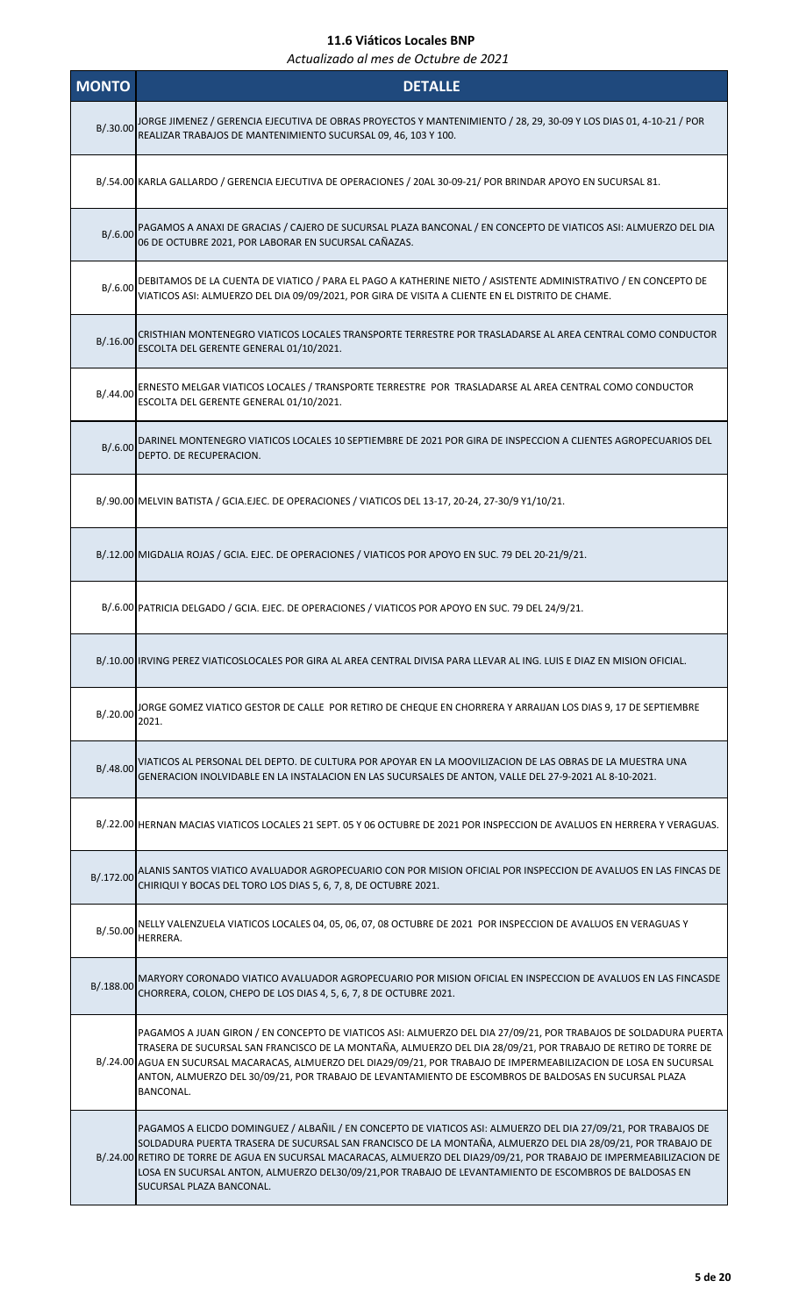| <b>MONTO</b> | <b>DETALLE</b>                                                                                                                                                                                                                                                                                                                                                                                                                                                                                |
|--------------|-----------------------------------------------------------------------------------------------------------------------------------------------------------------------------------------------------------------------------------------------------------------------------------------------------------------------------------------------------------------------------------------------------------------------------------------------------------------------------------------------|
|              | B/.30.00 JORGE JIMENEZ / GERENCIA EJECUTIVA DE OBRAS PROYECTOS Y MANTENIMIENTO / 28, 29, 30-09 Y LOS DIAS 01, 4-10-21 / POR<br>REALIZAR TRABAJOS DE MANTENIMIENTO SUCURSAL 09, 46, 103 Y 100.                                                                                                                                                                                                                                                                                                 |
|              | B/.54.00 KARLA GALLARDO / GERENCIA EJECUTIVA DE OPERACIONES / 20AL 30-09-21/ POR BRINDAR APOYO EN SUCURSAL 81.                                                                                                                                                                                                                                                                                                                                                                                |
| B/0.600      | PAGAMOS A ANAXI DE GRACIAS / CAJERO DE SUCURSAL PLAZA BANCONAL / EN CONCEPTO DE VIATICOS ASI: ALMUERZO DEL DIA<br>06 DE OCTUBRE 2021, POR LABORAR EN SUCURSAL CAÑAZAS.                                                                                                                                                                                                                                                                                                                        |
| B/.6.00      | DEBITAMOS DE LA CUENTA DE VIATICO / PARA EL PAGO A KATHERINE NIETO / ASISTENTE ADMINISTRATIVO / EN CONCEPTO DE<br>VIATICOS ASI: ALMUERZO DEL DIA 09/09/2021, POR GIRA DE VISITA A CLIENTE EN EL DISTRITO DE CHAME.                                                                                                                                                                                                                                                                            |
| B/.16.00     | CRISTHIAN MONTENEGRO VIATICOS LOCALES TRANSPORTE TERRESTRE POR TRASLADARSE AL AREA CENTRAL COMO CONDUCTOR<br>ESCOLTA DEL GERENTE GENERAL 01/10/2021.                                                                                                                                                                                                                                                                                                                                          |
| B/0.44.00    | ERNESTO MELGAR VIATICOS LOCALES / TRANSPORTE TERRESTRE POR TRASLADARSE AL AREA CENTRAL COMO CONDUCTOR<br>ESCOLTA DEL GERENTE GENERAL 01/10/2021.                                                                                                                                                                                                                                                                                                                                              |
| B/.6.00      | DARINEL MONTENEGRO VIATICOS LOCALES 10 SEPTIEMBRE DE 2021 POR GIRA DE INSPECCION A CLIENTES AGROPECUARIOS DEL<br>DEPTO. DE RECUPERACION.                                                                                                                                                                                                                                                                                                                                                      |
|              | B/.90.00 MELVIN BATISTA / GCIA.EJEC. DE OPERACIONES / VIATICOS DEL 13-17, 20-24, 27-30/9 Y1/10/21.                                                                                                                                                                                                                                                                                                                                                                                            |
|              | B/.12.00 MIGDALIA ROJAS / GCIA. EJEC. DE OPERACIONES / VIATICOS POR APOYO EN SUC. 79 DEL 20-21/9/21.                                                                                                                                                                                                                                                                                                                                                                                          |
|              | B/.6.00   PATRICIA DELGADO / GCIA. EJEC. DE OPERACIONES / VIATICOS POR APOYO EN SUC. 79 DEL 24/9/21.                                                                                                                                                                                                                                                                                                                                                                                          |
|              | B/.10.00 IRVING PEREZ VIATICOSLOCALES POR GIRA AL AREA CENTRAL DIVISA PARA LLEVAR AL ING. LUIS E DIAZ EN MISION OFICIAL.                                                                                                                                                                                                                                                                                                                                                                      |
| B/.20.00     | JORGE GOMEZ VIATICO GESTOR DE CALLE POR RETIRO DE CHEQUE EN CHORRERA Y ARRAIJAN LOS DIAS 9, 17 DE SEPTIEMBRE<br>2021.                                                                                                                                                                                                                                                                                                                                                                         |
| B/0.48.00    | VIATICOS AL PERSONAL DEL DEPTO. DE CULTURA POR APOYAR EN LA MOOVILIZACION DE LAS OBRAS DE LA MUESTRA UNA<br>GENERACION INOLVIDABLE EN LA INSTALACION EN LAS SUCURSALES DE ANTON, VALLE DEL 27-9-2021 AL 8-10-2021.                                                                                                                                                                                                                                                                            |
|              | B/.22.00 HERNAN MACIAS VIATICOS LOCALES 21 SEPT. 05 Y 06 OCTUBRE DE 2021 POR INSPECCION DE AVALUOS EN HERRERA Y VERAGUAS.                                                                                                                                                                                                                                                                                                                                                                     |
| B/.172.00    | ALANIS SANTOS VIATICO AVALUADOR AGROPECUARIO CON POR MISION OFICIAL POR INSPECCION DE AVALUOS EN LAS FINCAS DE<br>CHIRIQUI Y BOCAS DEL TORO LOS DIAS 5, 6, 7, 8, DE OCTUBRE 2021.                                                                                                                                                                                                                                                                                                             |
| B/.50.00     | NELLY VALENZUELA VIATICOS LOCALES 04, 05, 06, 07, 08 OCTUBRE DE 2021 POR INSPECCION DE AVALUOS EN VERAGUAS Y<br>HERRERA.                                                                                                                                                                                                                                                                                                                                                                      |
| B/.188.00    | MARYORY CORONADO VIATICO AVALUADOR AGROPECUARIO POR MISION OFICIAL EN INSPECCION DE AVALUOS EN LAS FINCASDE<br>CHORRERA, COLON, CHEPO DE LOS DIAS 4, 5, 6, 7, 8 DE OCTUBRE 2021.                                                                                                                                                                                                                                                                                                              |
|              | PAGAMOS A JUAN GIRON / EN CONCEPTO DE VIATICOS ASI: ALMUERZO DEL DIA 27/09/21, POR TRABAJOS DE SOLDADURA PUERTA<br>TRASERA DE SUCURSAL SAN FRANCISCO DE LA MONTAÑA, ALMUERZO DEL DIA 28/09/21, POR TRABAJO DE RETIRO DE TORRE DE<br>B/.24.00 AGUA EN SUCURSAL MACARACAS, ALMUERZO DEL DIA29/09/21, POR TRABAJO DE IMPERMEABILIZACION DE LOSA EN SUCURSAL<br>ANTON, ALMUERZO DEL 30/09/21, POR TRABAJO DE LEVANTAMIENTO DE ESCOMBROS DE BALDOSAS EN SUCURSAL PLAZA<br>BANCONAL.                |
|              | PAGAMOS A ELICDO DOMINGUEZ / ALBAÑIL / EN CONCEPTO DE VIATICOS ASI: ALMUERZO DEL DIA 27/09/21, POR TRABAJOS DE<br>SOLDADURA PUERTA TRASERA DE SUCURSAL SAN FRANCISCO DE LA MONTAÑA, ALMUERZO DEL DIA 28/09/21, POR TRABAJO DE<br>B/.24.00 RETIRO DE TORRE DE AGUA EN SUCURSAL MACARACAS, ALMUERZO DEL DIA29/09/21, POR TRABAJO DE IMPERMEABILIZACION DE<br>LOSA EN SUCURSAL ANTON, ALMUERZO DEL30/09/21, POR TRABAJO DE LEVANTAMIENTO DE ESCOMBROS DE BALDOSAS EN<br>SUCURSAL PLAZA BANCONAL. |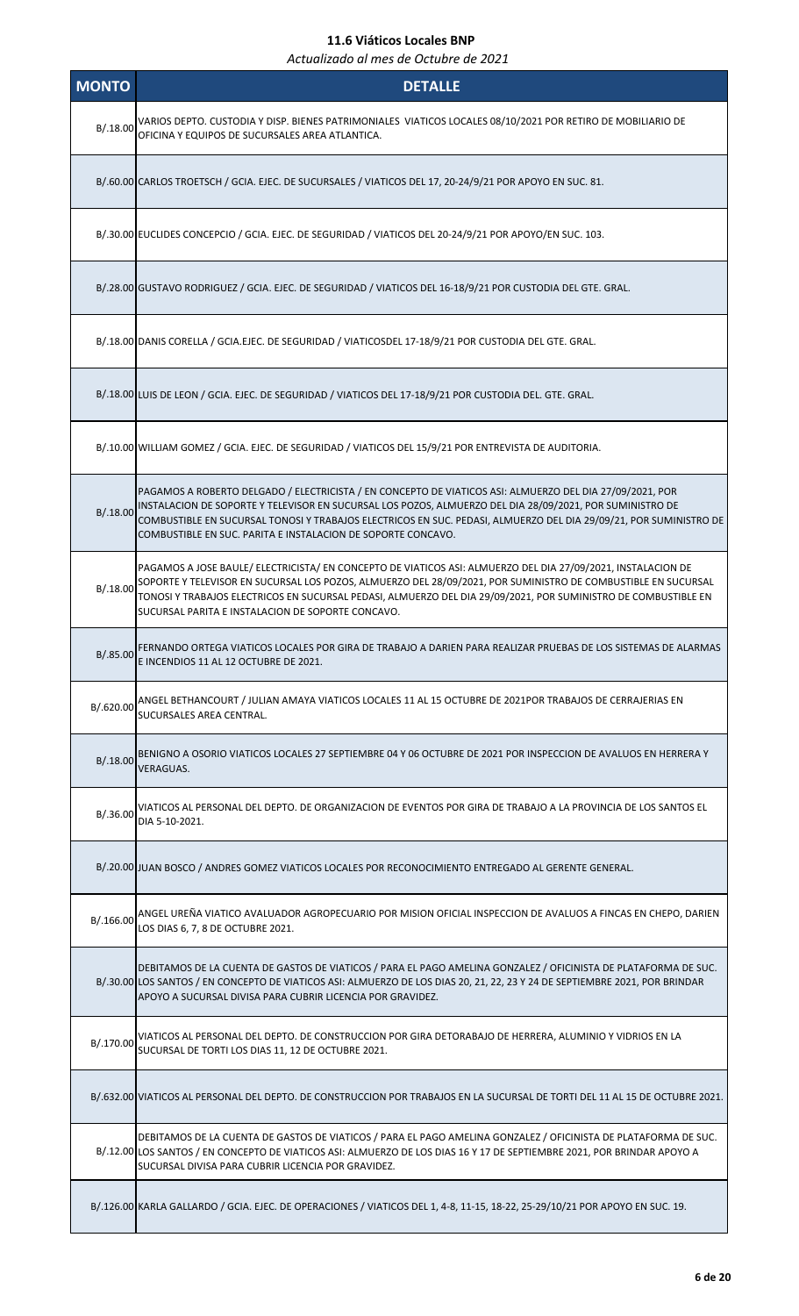| <b>MONTO</b> | <b>DETALLE</b>                                                                                                                                                                                                                                                                                                                                                                                            |
|--------------|-----------------------------------------------------------------------------------------------------------------------------------------------------------------------------------------------------------------------------------------------------------------------------------------------------------------------------------------------------------------------------------------------------------|
| B/.18.00     | VARIOS DEPTO. CUSTODIA Y DISP. BIENES PATRIMONIALES  VIATICOS LOCALES 08/10/2021 POR RETIRO DE MOBILIARIO DE<br>OFICINA Y EQUIPOS DE SUCURSALES AREA ATLANTICA.                                                                                                                                                                                                                                           |
|              | B/.60.00 CARLOS TROETSCH / GCIA. EJEC. DE SUCURSALES / VIATICOS DEL 17, 20-24/9/21 POR APOYO EN SUC. 81.                                                                                                                                                                                                                                                                                                  |
|              | B/.30.00 EUCLIDES CONCEPCIO / GCIA. EJEC. DE SEGURIDAD / VIATICOS DEL 20-24/9/21 POR APOYO/EN SUC. 103.                                                                                                                                                                                                                                                                                                   |
|              | B/.28.00 GUSTAVO RODRIGUEZ / GCIA. EJEC. DE SEGURIDAD / VIATICOS DEL 16-18/9/21 POR CUSTODIA DEL GTE. GRAL.                                                                                                                                                                                                                                                                                               |
|              | B/.18.00 DANIS CORELLA / GCIA.EJEC. DE SEGURIDAD / VIATICOSDEL 17-18/9/21 POR CUSTODIA DEL GTE. GRAL.                                                                                                                                                                                                                                                                                                     |
|              | B/.18.00 LUIS DE LEON / GCIA. EJEC. DE SEGURIDAD / VIATICOS DEL 17-18/9/21 POR CUSTODIA DEL. GTE. GRAL.                                                                                                                                                                                                                                                                                                   |
|              | B/.10.00 WILLIAM GOMEZ / GCIA. EJEC. DE SEGURIDAD / VIATICOS DEL 15/9/21 POR ENTREVISTA DE AUDITORIA.                                                                                                                                                                                                                                                                                                     |
| B/.18.00     | PAGAMOS A ROBERTO DELGADO / ELECTRICISTA / EN CONCEPTO DE VIATICOS ASI: ALMUERZO DEL DIA 27/09/2021, POR<br>INSTALACION DE SOPORTE Y TELEVISOR EN SUCURSAL LOS POZOS, ALMUERZO DEL DIA 28/09/2021, POR SUMINISTRO DE<br>COMBUSTIBLE EN SUCURSAL TONOSI Y TRABAJOS ELECTRICOS EN SUC. PEDASI, ALMUERZO DEL DIA 29/09/21, POR SUMINISTRO DE<br>COMBUSTIBLE EN SUC. PARITA E INSTALACION DE SOPORTE CONCAVO. |
| B/.18.00     | PAGAMOS A JOSE BAULE/ ELECTRICISTA/ EN CONCEPTO DE VIATICOS ASI: ALMUERZO DEL DIA 27/09/2021, INSTALACION DE<br>SOPORTE Y TELEVISOR EN SUCURSAL LOS POZOS, ALMUERZO DEL 28/09/2021, POR SUMINISTRO DE COMBUSTIBLE EN SUCURSAL<br>TONOSI Y TRABAJOS ELECTRICOS EN SUCURSAL PEDASI, ALMUERZO DEL DIA 29/09/2021, POR SUMINISTRO DE COMBUSTIBLE EN<br>SUCURSAL PARITA E INSTALACION DE SOPORTE CONCAVO.      |
| B/.85.00     | FERNANDO ORTEGA VIATICOS LOCALES POR GIRA DE TRABAJO A DARIEN PARA REALIZAR PRUEBAS DE LOS SISTEMAS DE ALARMAS<br>E INCENDIOS 11 AL 12 OCTUBRE DE 2021.                                                                                                                                                                                                                                                   |
| B/.620.00    | ANGEL BETHANCOURT / JULIAN AMAYA VIATICOS LOCALES 11 AL 15 OCTUBRE DE 2021POR TRABAJOS DE CERRAJERIAS EN<br>SUCURSALES AREA CENTRAL.                                                                                                                                                                                                                                                                      |
|              | B/.18.00 BENIGNO A OSORIO VIATICOS LOCALES 27 SEPTIEMBRE 04 Y 06 OCTUBRE DE 2021 POR INSPECCION DE AVALUOS EN HERRERA Y<br><b>VERAGUAS.</b>                                                                                                                                                                                                                                                               |
| B/.36.00     | VIATICOS AL PERSONAL DEL DEPTO. DE ORGANIZACION DE EVENTOS POR GIRA DE TRABAJO A LA PROVINCIA DE LOS SANTOS EL<br>DIA 5-10-2021.                                                                                                                                                                                                                                                                          |
|              | B/.20.00 JUAN BOSCO / ANDRES GOMEZ VIATICOS LOCALES POR RECONOCIMIENTO ENTREGADO AL GERENTE GENERAL.                                                                                                                                                                                                                                                                                                      |
| B/.166.00    | ANGEL UREÑA VIATICO AVALUADOR AGROPECUARIO POR MISION OFICIAL INSPECCION DE AVALUOS A FINCAS EN CHEPO, DARIEN<br>LOS DIAS 6, 7, 8 DE OCTUBRE 2021.                                                                                                                                                                                                                                                        |
|              | DEBITAMOS DE LA CUENTA DE GASTOS DE VIATICOS / PARA EL PAGO AMELINA GONZALEZ / OFICINISTA DE PLATAFORMA DE SUC.<br>B/.30.00 LOS SANTOS / EN CONCEPTO DE VIATICOS ASI: ALMUERZO DE LOS DIAS 20, 21, 22, 23 Y 24 DE SEPTIEMBRE 2021, POR BRINDAR<br>APOYO A SUCURSAL DIVISA PARA CUBRIR LICENCIA POR GRAVIDEZ.                                                                                              |
| B/.170.00    | VIATICOS AL PERSONAL DEL DEPTO. DE CONSTRUCCION POR GIRA DETORABAJO DE HERRERA, ALUMINIO Y VIDRIOS EN LA<br>SUCURSAL DE TORTI LOS DIAS 11, 12 DE OCTUBRE 2021.                                                                                                                                                                                                                                            |
|              | B/.632.00 VIATICOS AL PERSONAL DEL DEPTO. DE CONSTRUCCION POR TRABAJOS EN LA SUCURSAL DE TORTI DEL 11 AL 15 DE OCTUBRE 2021.                                                                                                                                                                                                                                                                              |
|              | DEBITAMOS DE LA CUENTA DE GASTOS DE VIATICOS / PARA EL PAGO AMELINA GONZALEZ / OFICINISTA DE PLATAFORMA DE SUC.<br>B/.12.00 LOS SANTOS / EN CONCEPTO DE VIATICOS ASI: ALMUERZO DE LOS DIAS 16 Y 17 DE SEPTIEMBRE 2021, POR BRINDAR APOYO A<br>SUCURSAL DIVISA PARA CUBRIR LICENCIA POR GRAVIDEZ.                                                                                                          |
|              | B/.126.00 KARLA GALLARDO / GCIA. EJEC. DE OPERACIONES / VIATICOS DEL 1, 4-8, 11-15, 18-22, 25-29/10/21 POR APOYO EN SUC. 19.                                                                                                                                                                                                                                                                              |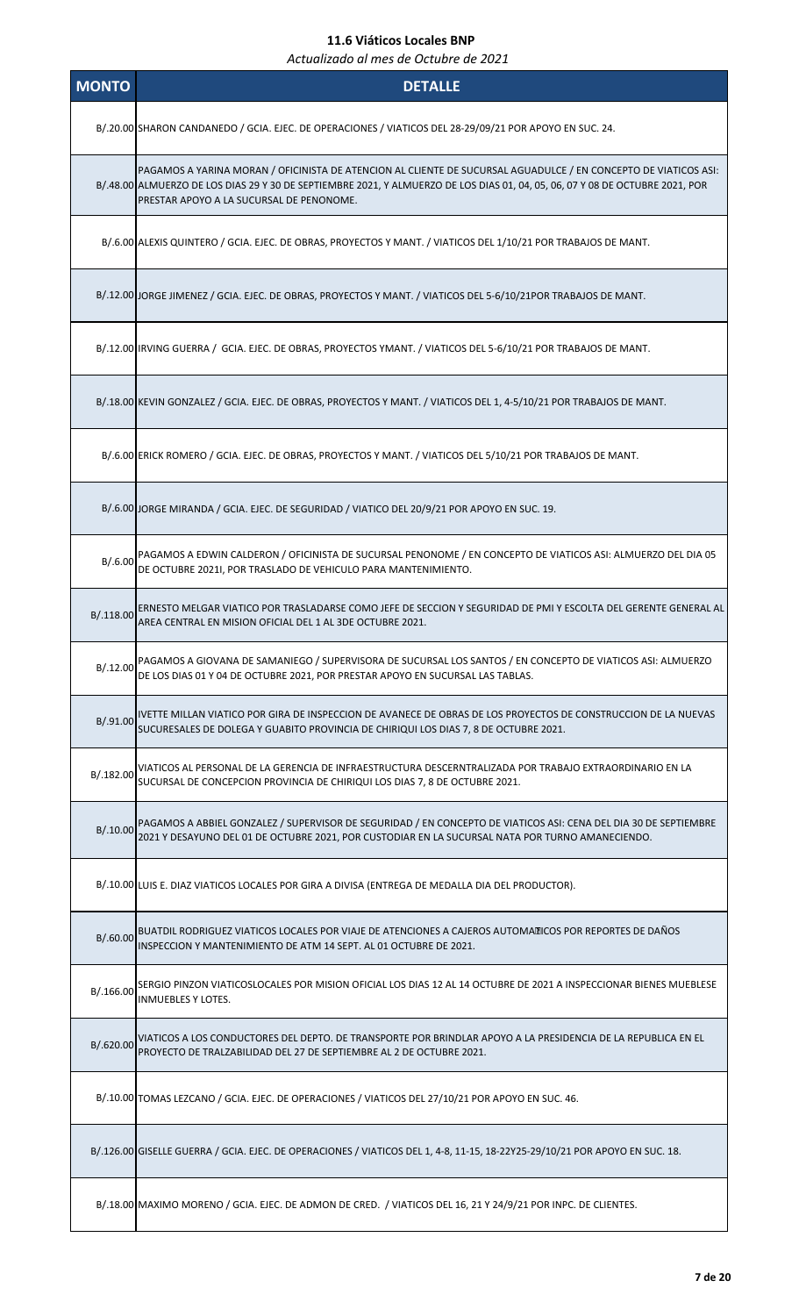| <b>MONTO</b> | <b>DETALLE</b>                                                                                                                                                                                                                                                                               |
|--------------|----------------------------------------------------------------------------------------------------------------------------------------------------------------------------------------------------------------------------------------------------------------------------------------------|
|              | B/.20.00 SHARON CANDANEDO / GCIA. EJEC. DE OPERACIONES / VIATICOS DEL 28-29/09/21 POR APOYO EN SUC. 24.                                                                                                                                                                                      |
|              | PAGAMOS A YARINA MORAN / OFICINISTA DE ATENCION AL CLIENTE DE SUCURSAL AGUADULCE / EN CONCEPTO DE VIATICOS ASI:<br>B/.48.00 ALMUERZO DE LOS DIAS 29 Y 30 DE SEPTIEMBRE 2021, Y ALMUERZO DE LOS DIAS 01, 04, 05, 06, 07 Y 08 DE OCTUBRE 2021, POR<br>PRESTAR APOYO A LA SUCURSAL DE PENONOME. |
|              | B/.6.00 ALEXIS QUINTERO / GCIA. EJEC. DE OBRAS, PROYECTOS Y MANT. / VIATICOS DEL 1/10/21 POR TRABAJOS DE MANT.                                                                                                                                                                               |
|              | B/.12.00 JORGE JIMENEZ / GCIA. EJEC. DE OBRAS, PROYECTOS Y MANT. / VIATICOS DEL 5-6/10/21POR TRABAJOS DE MANT.                                                                                                                                                                               |
|              | B/.12.00   IRVING GUERRA / GCIA. EJEC. DE OBRAS, PROYECTOS YMANT. / VIATICOS DEL 5-6/10/21 POR TRABAJOS DE MANT.                                                                                                                                                                             |
|              | B/.18.00 KEVIN GONZALEZ / GCIA. EJEC. DE OBRAS, PROYECTOS Y MANT. / VIATICOS DEL 1, 4-5/10/21 POR TRABAJOS DE MANT.                                                                                                                                                                          |
|              | B/.6.00 ERICK ROMERO / GCIA. EJEC. DE OBRAS, PROYECTOS Y MANT. / VIATICOS DEL 5/10/21 POR TRABAJOS DE MANT.                                                                                                                                                                                  |
|              | B/.6.00 JORGE MIRANDA / GCIA. EJEC. DE SEGURIDAD / VIATICO DEL 20/9/21 POR APOYO EN SUC. 19.                                                                                                                                                                                                 |
| B/.6.00      | PAGAMOS A EDWIN CALDERON / OFICINISTA DE SUCURSAL PENONOME / EN CONCEPTO DE VIATICOS ASI: ALMUERZO DEL DIA 05<br>DE OCTUBRE 2021I, POR TRASLADO DE VEHICULO PARA MANTENIMIENTO.                                                                                                              |
| B/.118.00    | ERNESTO MELGAR VIATICO POR TRASLADARSE COMO JEFE DE SECCION Y SEGURIDAD DE PMI Y ESCOLTA DEL GERENTE GENERAL AL<br>AREA CENTRAL EN MISION OFICIAL DEL 1 AL 3DE OCTUBRE 2021.                                                                                                                 |
| B/0.12.00    | PAGAMOS A GIOVANA DE SAMANIEGO / SUPERVISORA DE SUCURSAL LOS SANTOS / EN CONCEPTO DE VIATICOS ASI: ALMUERZO<br>DE LOS DIAS 01 Y 04 DE OCTUBRE 2021, POR PRESTAR APOYO EN SUCURSAL LAS TABLAS.                                                                                                |
| B/.91.00     | IVETTE MILLAN VIATICO POR GIRA DE INSPECCION DE AVANECE DE OBRAS DE LOS PROYECTOS DE CONSTRUCCION DE LA NUEVAS<br>SUCURESALES DE DOLEGA Y GUABITO PROVINCIA DE CHIRIQUI LOS DIAS 7, 8 DE OCTUBRE 2021.                                                                                       |
| B/.182.00    | VIATICOS AL PERSONAL DE LA GERENCIA DE INFRAESTRUCTURA DESCERNTRALIZADA POR TRABAJO EXTRAORDINARIO EN LA<br>SUCURSAL DE CONCEPCION PROVINCIA DE CHIRIQUI LOS DIAS 7, 8 DE OCTUBRE 2021.                                                                                                      |
| B/.10.00     | PAGAMOS A ABBIEL GONZALEZ / SUPERVISOR DE SEGURIDAD / EN CONCEPTO DE VIATICOS ASI: CENA DEL DIA 30 DE SEPTIEMBRE<br>2021 Y DESAYUNO DEL 01 DE OCTUBRE 2021, POR CUSTODIAR EN LA SUCURSAL NATA POR TURNO AMANECIENDO.                                                                         |
|              | B/.10.00 LUIS E. DIAZ VIATICOS LOCALES POR GIRA A DIVISA (ENTREGA DE MEDALLA DIA DEL PRODUCTOR).                                                                                                                                                                                             |
| B/.60.00     | BUATDIL RODRIGUEZ VIATICOS LOCALES POR VIAJE DE ATENCIONES A CAJEROS AUTOMATICOS POR REPORTES DE DAÑOS<br>INSPECCION Y MANTENIMIENTO DE ATM 14 SEPT. AL 01 OCTUBRE DE 2021.                                                                                                                  |
| B/.166.00    | SERGIO PINZON VIATICOSLOCALES POR MISION OFICIAL LOS DIAS 12 AL 14 OCTUBRE DE 2021 A INSPECCIONAR BIENES MUEBLESE<br><b>INMUEBLES Y LOTES.</b>                                                                                                                                               |
| B/.620.00    | VIATICOS A LOS CONDUCTORES DEL DEPTO. DE TRANSPORTE POR BRINDLAR APOYO A LA PRESIDENCIA DE LA REPUBLICA EN EL<br>PROYECTO DE TRALZABILIDAD DEL 27 DE SEPTIEMBRE AL 2 DE OCTUBRE 2021.                                                                                                        |
|              | B/.10.00 TOMAS LEZCANO / GCIA. EJEC. DE OPERACIONES / VIATICOS DEL 27/10/21 POR APOYO EN SUC. 46.                                                                                                                                                                                            |
|              | B/.126.00 GISELLE GUERRA / GCIA. EJEC. DE OPERACIONES / VIATICOS DEL 1, 4-8, 11-15, 18-22Y25-29/10/21 POR APOYO EN SUC. 18.                                                                                                                                                                  |
|              | B/.18.00 MAXIMO MORENO / GCIA. EJEC. DE ADMON DE CRED. / VIATICOS DEL 16, 21 Y 24/9/21 POR INPC. DE CLIENTES.                                                                                                                                                                                |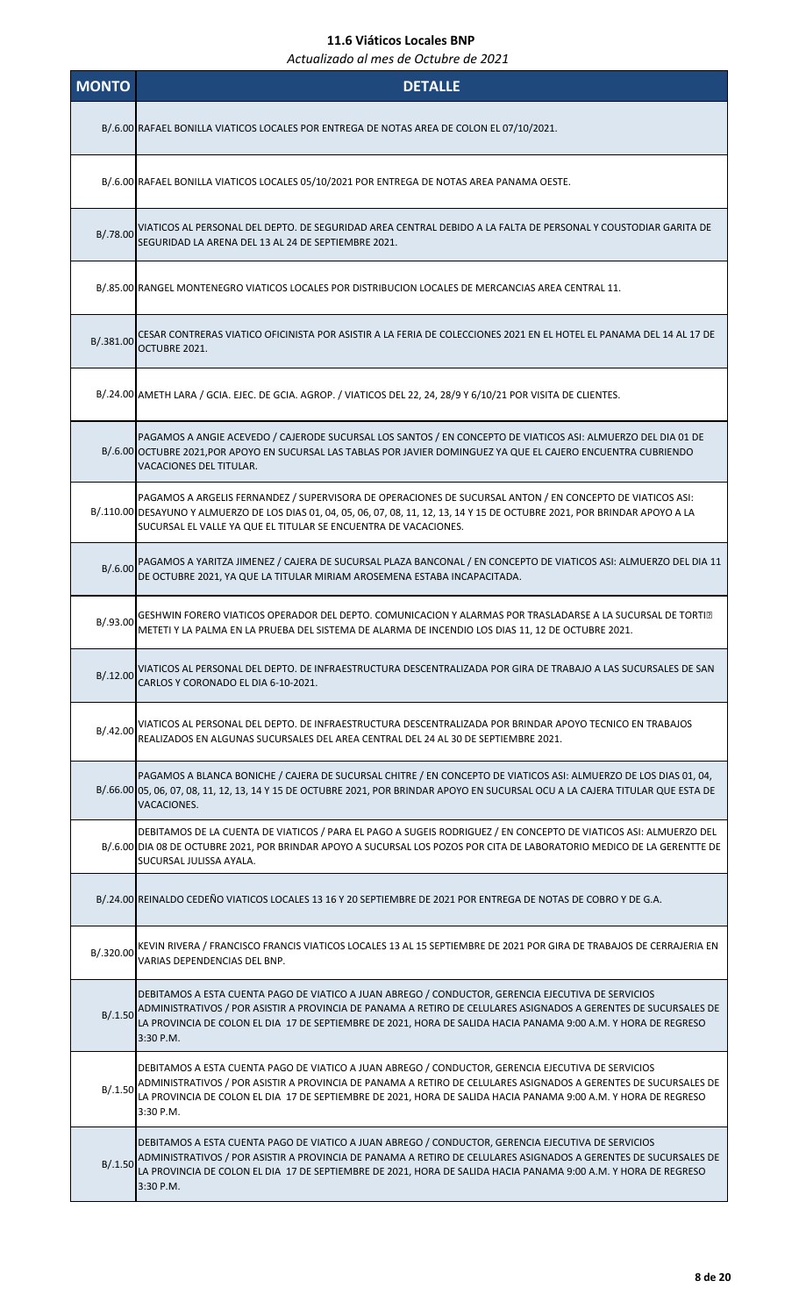| <b>MONTO</b> | <b>DETALLE</b>                                                                                                                                                                                                                                                                                                                                       |
|--------------|------------------------------------------------------------------------------------------------------------------------------------------------------------------------------------------------------------------------------------------------------------------------------------------------------------------------------------------------------|
|              | B/.6.00 RAFAEL BONILLA VIATICOS LOCALES POR ENTREGA DE NOTAS AREA DE COLON EL 07/10/2021.                                                                                                                                                                                                                                                            |
|              | B/.6.00 RAFAEL BONILLA VIATICOS LOCALES 05/10/2021 POR ENTREGA DE NOTAS AREA PANAMA OESTE.                                                                                                                                                                                                                                                           |
| B/.78.00     | VIATICOS AL PERSONAL DEL DEPTO. DE SEGURIDAD AREA CENTRAL DEBIDO A LA FALTA DE PERSONAL Y COUSTODIAR GARITA DE<br>SEGURIDAD LA ARENA DEL 13 AL 24 DE SEPTIEMBRE 2021.                                                                                                                                                                                |
|              | B/.85.00 RANGEL MONTENEGRO VIATICOS LOCALES POR DISTRIBUCION LOCALES DE MERCANCIAS AREA CENTRAL 11.                                                                                                                                                                                                                                                  |
| B/.381.00    | CESAR CONTRERAS VIATICO OFICINISTA POR ASISTIR A LA FERIA DE COLECCIONES 2021 EN EL HOTEL EL PANAMA DEL 14 AL 17 DE<br>OCTUBRE 2021.                                                                                                                                                                                                                 |
|              | B/.24.00 AMETH LARA / GCIA. EJEC. DE GCIA. AGROP. / VIATICOS DEL 22, 24, 28/9 Y 6/10/21 POR VISITA DE CLIENTES.                                                                                                                                                                                                                                      |
|              | PAGAMOS A ANGIE ACEVEDO / CAJERODE SUCURSAL LOS SANTOS / EN CONCEPTO DE VIATICOS ASI: ALMUERZO DEL DIA 01 DE<br>B/.6.00 OCTUBRE 2021,POR APOYO EN SUCURSAL LAS TABLAS POR JAVIER DOMINGUEZ YA QUE EL CAJERO ENCUENTRA CUBRIENDO<br>VACACIONES DEL TITULAR.                                                                                           |
|              | PAGAMOS A ARGELIS FERNANDEZ / SUPERVISORA DE OPERACIONES DE SUCURSAL ANTON / EN CONCEPTO DE VIATICOS ASI:<br>B/.110.00 DESAYUNO Y ALMUERZO DE LOS DIAS 01, 04, 05, 06, 07, 08, 11, 12, 13, 14 Y 15 DE OCTUBRE 2021, POR BRINDAR APOYO A LA<br>SUCURSAL EL VALLE YA QUE EL TITULAR SE ENCUENTRA DE VACACIONES.                                        |
| B/0.6.00     | PAGAMOS A YARITZA JIMENEZ / CAJERA DE SUCURSAL PLAZA BANCONAL / EN CONCEPTO DE VIATICOS ASI: ALMUERZO DEL DIA 11<br>DE OCTUBRE 2021, YA QUE LA TITULAR MIRIAM AROSEMENA ESTABA INCAPACITADA.                                                                                                                                                         |
| B/.93.00     | GESHWIN FORERO VIATICOS OPERADOR DEL DEPTO. COMUNICACION Y ALARMAS POR TRASLADARSE A LA SUCURSAL DE TORTI.<br>METETI Y LA PALMA EN LA PRUEBA DEL SISTEMA DE ALARMA DE INCENDIO LOS DIAS 11, 12 DE OCTUBRE 2021.                                                                                                                                      |
| B/.12.00     | VIATICOS AL PERSONAL DEL DEPTO. DE INFRAESTRUCTURA DESCENTRALIZADA POR GIRA DE TRABAJO A LAS SUCURSALES DE SAN<br>CARLOS Y CORONADO EL DIA 6-10-2021.                                                                                                                                                                                                |
| B/.42.00     | VIATICOS AL PERSONAL DEL DEPTO. DE INFRAESTRUCTURA DESCENTRALIZADA POR BRINDAR APOYO TECNICO EN TRABAJOS<br>REALIZADOS EN ALGUNAS SUCURSALES DEL AREA CENTRAL DEL 24 AL 30 DE SEPTIEMBRE 2021.                                                                                                                                                       |
|              | PAGAMOS A BLANCA BONICHE / CAJERA DE SUCURSAL CHITRE / EN CONCEPTO DE VIATICOS ASI: ALMUERZO DE LOS DIAS 01, 04,<br>B/.66.00 05, 06, 07, 08, 11, 12, 13, 14 Y 15 DE OCTUBRE 2021, POR BRINDAR APOYO EN SUCURSAL OCU A LA CAJERA TITULAR QUE ESTA DE<br>VACACIONES.                                                                                   |
|              | DEBITAMOS DE LA CUENTA DE VIATICOS / PARA EL PAGO A SUGEIS RODRIGUEZ / EN CONCEPTO DE VIATICOS ASI: ALMUERZO DEL<br>B/.6.00 DIA 08 DE OCTUBRE 2021, POR BRINDAR APOYO A SUCURSAL LOS POZOS POR CITA DE LABORATORIO MEDICO DE LA GERENTTE DE<br>SUCURSAL JULISSA AYALA.                                                                               |
|              | B/.24.00 REINALDO CEDEÑO VIATICOS LOCALES 13 16 Y 20 SEPTIEMBRE DE 2021 POR ENTREGA DE NOTAS DE COBRO Y DE G.A.                                                                                                                                                                                                                                      |
| B/.320.00    | KEVIN RIVERA / FRANCISCO FRANCIS VIATICOS LOCALES 13 AL 15 SEPTIEMBRE DE 2021 POR GIRA DE TRABAJOS DE CERRAJERIA EN<br>VARIAS DEPENDENCIAS DEL BNP.                                                                                                                                                                                                  |
| B/0.1.50     | DEBITAMOS A ESTA CUENTA PAGO DE VIATICO A JUAN ABREGO / CONDUCTOR, GERENCIA EJECUTIVA DE SERVICIOS<br>ADMINISTRATIVOS / POR ASISTIR A PROVINCIA DE PANAMA A RETIRO DE CELULARES ASIGNADOS A GERENTES DE SUCURSALES DE<br>LA PROVINCIA DE COLON EL DIA 17 DE SEPTIEMBRE DE 2021, HORA DE SALIDA HACIA PANAMA 9:00 A.M. Y HORA DE REGRESO<br>3:30 P.M. |
| B/.1.50      | DEBITAMOS A ESTA CUENTA PAGO DE VIATICO A JUAN ABREGO / CONDUCTOR, GERENCIA EJECUTIVA DE SERVICIOS<br>ADMINISTRATIVOS / POR ASISTIR A PROVINCIA DE PANAMA A RETIRO DE CELULARES ASIGNADOS A GERENTES DE SUCURSALES DE<br>LA PROVINCIA DE COLON EL DIA 17 DE SEPTIEMBRE DE 2021, HORA DE SALIDA HACIA PANAMA 9:00 A.M. Y HORA DE REGRESO<br>3:30 P.M. |
| B/0.1.50     | DEBITAMOS A ESTA CUENTA PAGO DE VIATICO A JUAN ABREGO / CONDUCTOR, GERENCIA EJECUTIVA DE SERVICIOS<br>ADMINISTRATIVOS / POR ASISTIR A PROVINCIA DE PANAMA A RETIRO DE CELULARES ASIGNADOS A GERENTES DE SUCURSALES DE<br>LA PROVINCIA DE COLON EL DIA 17 DE SEPTIEMBRE DE 2021, HORA DE SALIDA HACIA PANAMA 9:00 A.M. Y HORA DE REGRESO<br>3:30 P.M. |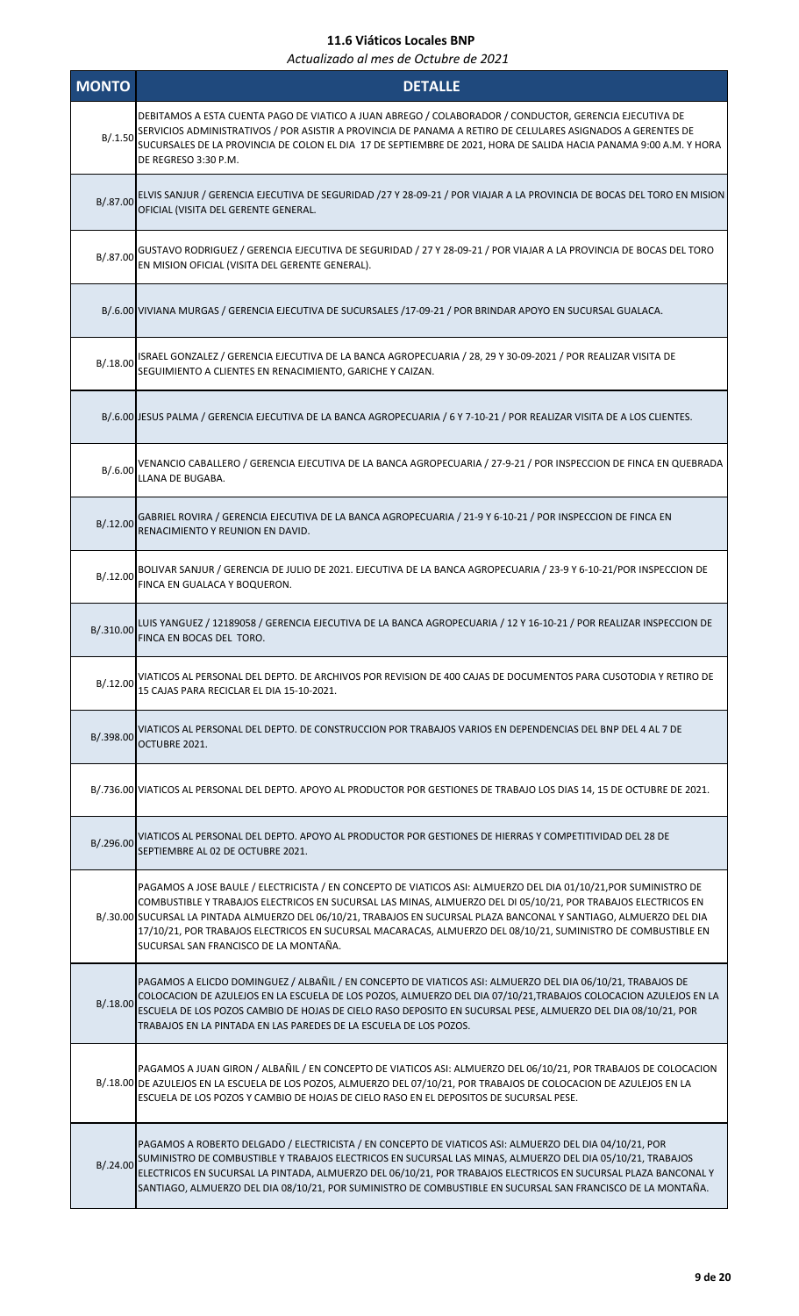| <b>MONTO</b> | <b>DETALLE</b>                                                                                                                                                                                                                                                                                                                                                                                                                                                                                                   |
|--------------|------------------------------------------------------------------------------------------------------------------------------------------------------------------------------------------------------------------------------------------------------------------------------------------------------------------------------------------------------------------------------------------------------------------------------------------------------------------------------------------------------------------|
| B/.1.50      | DEBITAMOS A ESTA CUENTA PAGO DE VIATICO A JUAN ABREGO / COLABORADOR / CONDUCTOR, GERENCIA EJECUTIVA DE<br>SERVICIOS ADMINISTRATIVOS / POR ASISTIR A PROVINCIA DE PANAMA A RETIRO DE CELULARES ASIGNADOS A GERENTES DE<br>SUCURSALES DE LA PROVINCIA DE COLON EL DIA 17 DE SEPTIEMBRE DE 2021, HORA DE SALIDA HACIA PANAMA 9:00 A.M. Y HORA<br>DE REGRESO 3:30 P.M.                                                                                                                                               |
| B/.87.00     | ELVIS SANJUR / GERENCIA EJECUTIVA DE SEGURIDAD /27 Y 28-09-21 / POR VIAJAR A LA PROVINCIA DE BOCAS DEL TORO EN MISION<br>OFICIAL (VISITA DEL GERENTE GENERAL.                                                                                                                                                                                                                                                                                                                                                    |
| B/.87.00     | GUSTAVO RODRIGUEZ / GERENCIA EJECUTIVA DE SEGURIDAD / 27 Y 28-09-21 / POR VIAJAR A LA PROVINCIA DE BOCAS DEL TORO<br>EN MISION OFICIAL (VISITA DEL GERENTE GENERAL).                                                                                                                                                                                                                                                                                                                                             |
|              | B/.6.00 VIVIANA MURGAS / GERENCIA EJECUTIVA DE SUCURSALES /17-09-21 / POR BRINDAR APOYO EN SUCURSAL GUALACA.                                                                                                                                                                                                                                                                                                                                                                                                     |
| B/.18.00     | ISRAEL GONZALEZ / GERENCIA EJECUTIVA DE LA BANCA AGROPECUARIA / 28, 29 Y 30-09-2021 / POR REALIZAR VISITA DE<br>SEGUIMIENTO A CLIENTES EN RENACIMIENTO, GARICHE Y CAIZAN.                                                                                                                                                                                                                                                                                                                                        |
|              | B/.6.00 JESUS PALMA / GERENCIA EJECUTIVA DE LA BANCA AGROPECUARIA / 6 Y 7-10-21 / POR REALIZAR VISITA DE A LOS CLIENTES.                                                                                                                                                                                                                                                                                                                                                                                         |
| B/.6.00      | VENANCIO CABALLERO / GERENCIA EJECUTIVA DE LA BANCA AGROPECUARIA / 27-9-21 / POR INSPECCION DE FINCA EN QUEBRADA<br>LLANA DE BUGABA.                                                                                                                                                                                                                                                                                                                                                                             |
|              | B/.12.00 GABRIEL ROVIRA / GERENCIA EJECUTIVA DE LA BANCA AGROPECUARIA / 21-9 Y 6-10-21 / POR INSPECCION DE FINCA EN<br>RENACIMIENTO Y REUNION EN DAVID.                                                                                                                                                                                                                                                                                                                                                          |
| B/.12.00     | BOLIVAR SANJUR / GERENCIA DE JULIO DE 2021. EJECUTIVA DE LA BANCA AGROPECUARIA / 23-9 Y 6-10-21/POR INSPECCION DE<br>FINCA EN GUALACA Y BOQUERON.                                                                                                                                                                                                                                                                                                                                                                |
| B/.310.00    | LUIS YANGUEZ / 12189058 / GERENCIA EJECUTIVA DE LA BANCA AGROPECUARIA / 12 Y 16-10-21 / POR REALIZAR INSPECCION DE<br>FINCA EN BOCAS DEL TORO.                                                                                                                                                                                                                                                                                                                                                                   |
| B/.12.00     | VIATICOS AL PERSONAL DEL DEPTO. DE ARCHIVOS POR REVISION DE 400 CAJAS DE DOCUMENTOS PARA CUSOTODIA Y RETIRO DE<br>15 CAJAS PARA RECICLAR EL DIA 15-10-2021.                                                                                                                                                                                                                                                                                                                                                      |
| B/.398.00    | VIATICOS AL PERSONAL DEL DEPTO. DE CONSTRUCCION POR TRABAJOS VARIOS EN DEPENDENCIAS DEL BNP DEL 4 AL 7 DE<br>OCTUBRE 2021.                                                                                                                                                                                                                                                                                                                                                                                       |
|              | B/.736.00 VIATICOS AL PERSONAL DEL DEPTO. APOYO AL PRODUCTOR POR GESTIONES DE TRABAJO LOS DIAS 14, 15 DE OCTUBRE DE 2021.                                                                                                                                                                                                                                                                                                                                                                                        |
|              | B/.296.00 VIATICOS AL PERSONAL DEL DEPTO. APOYO AL PRODUCTOR POR GESTIONES DE HIERRAS Y COMPETITIVIDAD DEL 28 DE<br>SEPTIEMBRE AL 02 DE OCTUBRE 2021.                                                                                                                                                                                                                                                                                                                                                            |
|              | PAGAMOS A JOSE BAULE / ELECTRICISTA / EN CONCEPTO DE VIATICOS ASI: ALMUERZO DEL DIA 01/10/21,POR SUMINISTRO DE<br>COMBUSTIBLE Y TRABAJOS ELECTRICOS EN SUCURSAL LAS MINAS, ALMUERZO DEL DI 05/10/21, POR TRABAJOS ELECTRICOS EN<br>B/.30.00 SUCURSAL LA PINTADA ALMUERZO DEL 06/10/21, TRABAJOS EN SUCURSAL PLAZA BANCONAL Y SANTIAGO, ALMUERZO DEL DIA<br>17/10/21, POR TRABAJOS ELECTRICOS EN SUCURSAL MACARACAS, ALMUERZO DEL 08/10/21, SUMINISTRO DE COMBUSTIBLE EN<br>SUCURSAL SAN FRANCISCO DE LA MONTAÑA. |
| B/.18.00     | PAGAMOS A ELICDO DOMINGUEZ / ALBAÑIL / EN CONCEPTO DE VIATICOS ASI: ALMUERZO DEL DIA 06/10/21, TRABAJOS DE<br>COLOCACION DE AZULEJOS EN LA ESCUELA DE LOS POZOS, ALMUERZO DEL DIA 07/10/21,TRABAJOS COLOCACION AZULEJOS EN LA<br>ESCUELA DE LOS POZOS CAMBIO DE HOJAS DE CIELO RASO DEPOSITO EN SUCURSAL PESE, ALMUERZO DEL DIA 08/10/21, POR<br>TRABAJOS EN LA PINTADA EN LAS PAREDES DE LA ESCUELA DE LOS POZOS.                                                                                               |
|              | PAGAMOS A JUAN GIRON / ALBAÑIL / EN CONCEPTO DE VIATICOS ASI: ALMUERZO DEL 06/10/21, POR TRABAJOS DE COLOCACION<br>B/.18.00 DE AZULEJOS EN LA ESCUELA DE LOS POZOS, ALMUERZO DEL 07/10/21, POR TRABAJOS DE COLOCACION DE AZULEJOS EN LA<br>ESCUELA DE LOS POZOS Y CAMBIO DE HOJAS DE CIELO RASO EN EL DEPOSITOS DE SUCURSAL PESE.                                                                                                                                                                                |
| B/.24.00     | PAGAMOS A ROBERTO DELGADO / ELECTRICISTA / EN CONCEPTO DE VIATICOS ASI: ALMUERZO DEL DIA 04/10/21, POR<br>SUMINISTRO DE COMBUSTIBLE Y TRABAJOS ELECTRICOS EN SUCURSAL LAS MINAS, ALMUERZO DEL DIA 05/10/21, TRABAJOS<br>ELECTRICOS EN SUCURSAL LA PINTADA, ALMUERZO DEL 06/10/21, POR TRABAJOS ELECTRICOS EN SUCURSAL PLAZA BANCONAL Y<br>SANTIAGO, ALMUERZO DEL DIA 08/10/21, POR SUMINISTRO DE COMBUSTIBLE EN SUCURSAL SAN FRANCISCO DE LA MONTAÑA.                                                            |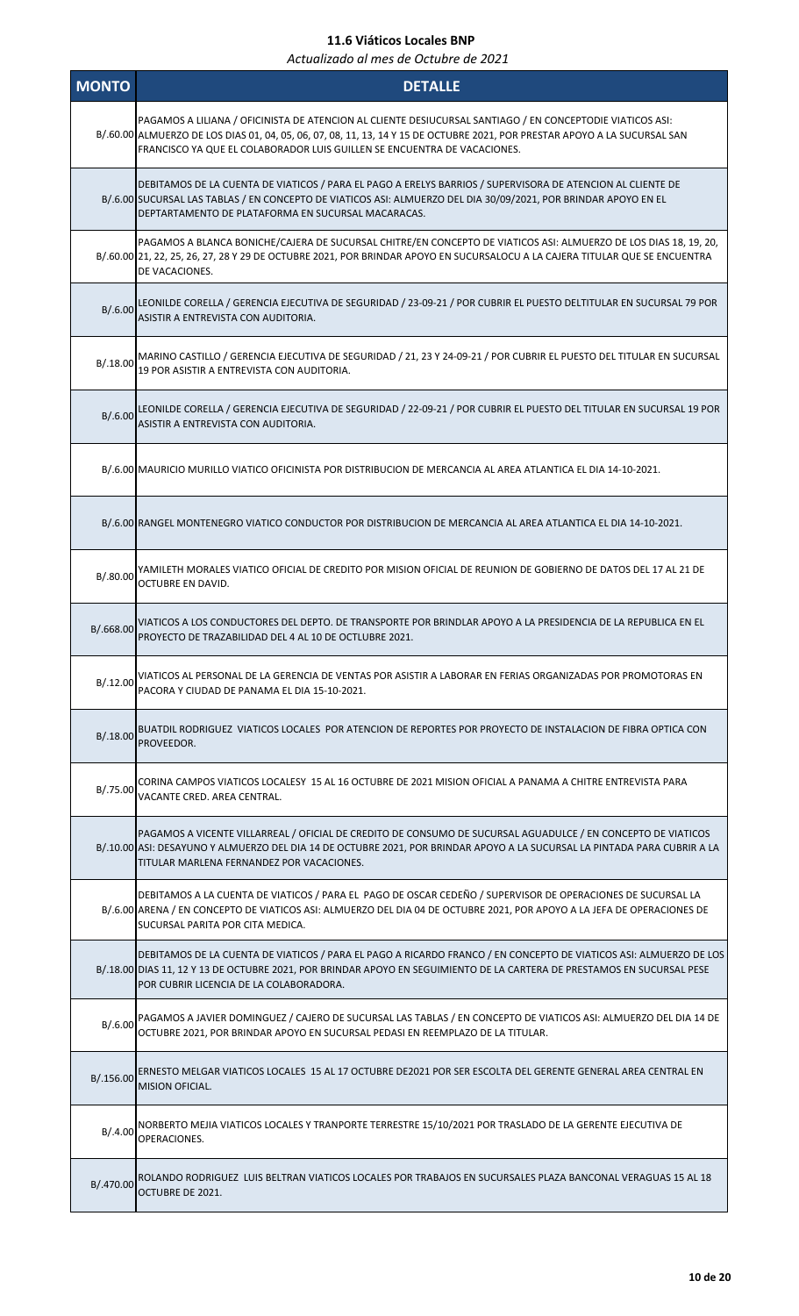| <b>MONTO</b> | <b>DETALLE</b>                                                                                                                                                                                                                                                                                                      |
|--------------|---------------------------------------------------------------------------------------------------------------------------------------------------------------------------------------------------------------------------------------------------------------------------------------------------------------------|
|              | PAGAMOS A LILIANA / OFICINISTA DE ATENCION AL CLIENTE DESIUCURSAL SANTIAGO / EN CONCEPTODIE VIATICOS ASI:<br>B/.60.00 ALMUERZO DE LOS DIAS 01, 04, 05, 06, 07, 08, 11, 13, 14 Y 15 DE OCTUBRE 2021, POR PRESTAR APOYO A LA SUCURSAL SAN<br>FRANCISCO YA QUE EL COLABORADOR LUIS GUILLEN SE ENCUENTRA DE VACACIONES. |
|              | DEBITAMOS DE LA CUENTA DE VIATICOS / PARA EL PAGO A ERELYS BARRIOS / SUPERVISORA DE ATENCION AL CLIENTE DE<br>B/.6.00 SUCURSAL LAS TABLAS / EN CONCEPTO DE VIATICOS ASI: ALMUERZO DEL DIA 30/09/2021, POR BRINDAR APOYO EN EL<br>DEPTARTAMENTO DE PLATAFORMA EN SUCURSAL MACARACAS.                                 |
|              | PAGAMOS A BLANCA BONICHE/CAJERA DE SUCURSAL CHITRE/EN CONCEPTO DE VIATICOS ASI: ALMUERZO DE LOS DIAS 18, 19, 20,<br>B/.60.00 21, 22, 25, 26, 27, 28 Y 29 DE OCTUBRE 2021, POR BRINDAR APOYO EN SUCURSALOCU A LA CAJERA TITULAR QUE SE ENCUENTRA<br>DE VACACIONES.                                                   |
| B/.6.00      | LEONILDE CORELLA / GERENCIA EJECUTIVA DE SEGURIDAD / 23-09-21 / POR CUBRIR EL PUESTO DELTITULAR EN SUCURSAL 79 POR<br>ASISTIR A ENTREVISTA CON AUDITORIA.                                                                                                                                                           |
| B/0.18.00    | MARINO CASTILLO / GERENCIA EJECUTIVA DE SEGURIDAD / 21, 23 Y 24-09-21 / POR CUBRIR EL PUESTO DEL TITULAR EN SUCURSAL<br>19 POR ASISTIR A ENTREVISTA CON AUDITORIA.                                                                                                                                                  |
| B/.6.00      | LEONILDE CORELLA / GERENCIA EJECUTIVA DE SEGURIDAD / 22-09-21 / POR CUBRIR EL PUESTO DEL TITULAR EN SUCURSAL 19 POR<br>ASISTIR A ENTREVISTA CON AUDITORIA.                                                                                                                                                          |
|              | B/.6.00 MAURICIO MURILLO VIATICO OFICINISTA POR DISTRIBUCION DE MERCANCIA AL AREA ATLANTICA EL DIA 14-10-2021.                                                                                                                                                                                                      |
|              | B/.6.00 RANGEL MONTENEGRO VIATICO CONDUCTOR POR DISTRIBUCION DE MERCANCIA AL AREA ATLANTICA EL DIA 14-10-2021.                                                                                                                                                                                                      |
| B/.80.00     | YAMILETH MORALES VIATICO OFICIAL DE CREDITO POR MISION OFICIAL DE REUNION DE GOBIERNO DE DATOS DEL 17 AL 21 DE<br><b>OCTUBRE EN DAVID.</b>                                                                                                                                                                          |
| B/.668.00    | VIATICOS A LOS CONDUCTORES DEL DEPTO. DE TRANSPORTE POR BRINDLAR APOYO A LA PRESIDENCIA DE LA REPUBLICA EN EL<br>PROYECTO DE TRAZABILIDAD DEL 4 AL 10 DE OCTLUBRE 2021.                                                                                                                                             |
| B/.12.00     | VIATICOS AL PERSONAL DE LA GERENCIA DE VENTAS POR ASISTIR A LABORAR EN FERIAS ORGANIZADAS POR PROMOTORAS EN<br>PACORA Y CIUDAD DE PANAMA EL DIA 15-10-2021.                                                                                                                                                         |
| B/.18.00     | BUATDIL RODRIGUEZ VIATICOS LOCALES POR ATENCION DE REPORTES POR PROYECTO DE INSTALACION DE FIBRA OPTICA CON<br>PROVEEDOR.                                                                                                                                                                                           |
| B/.75.00     | CORINA CAMPOS VIATICOS LOCALESY 15 AL 16 OCTUBRE DE 2021 MISION OFICIAL A PANAMA A CHITRE ENTREVISTA PARA<br>VACANTE CRED, AREA CENTRAL.                                                                                                                                                                            |
|              | PAGAMOS A VICENTE VILLARREAL / OFICIAL DE CREDITO DE CONSUMO DE SUCURSAL AGUADULCE / EN CONCEPTO DE VIATICOS<br>B/.10.00 ASI: DESAYUNO Y ALMUERZO DEL DIA 14 DE OCTUBRE 2021, POR BRINDAR APOYO A LA SUCURSAL LA PINTADA PARA CUBRIR A LA<br>TITULAR MARLENA FERNANDEZ POR VACACIONES.                              |
|              | DEBITAMOS A LA CUENTA DE VIATICOS / PARA EL PAGO DE OSCAR CEDEÑO / SUPERVISOR DE OPERACIONES DE SUCURSAL LA<br>B/.6.00 ARENA / EN CONCEPTO DE VIATICOS ASI: ALMUERZO DEL DIA 04 DE OCTUBRE 2021, POR APOYO A LA JEFA DE OPERACIONES DE<br>SUCURSAL PARITA POR CITA MEDICA.                                          |
|              | DEBITAMOS DE LA CUENTA DE VIATICOS / PARA EL PAGO A RICARDO FRANCO / EN CONCEPTO DE VIATICOS ASI: ALMUERZO DE LOS<br>B/.18.00 DIAS 11, 12 Y 13 DE OCTUBRE 2021, POR BRINDAR APOYO EN SEGUIMIENTO DE LA CARTERA DE PRESTAMOS EN SUCURSAL PESE<br>POR CUBRIR LICENCIA DE LA COLABORADORA.                             |
| B/.6.00      | PAGAMOS A JAVIER DOMINGUEZ / CAJERO DE SUCURSAL LAS TABLAS / EN CONCEPTO DE VIATICOS ASI: ALMUERZO DEL DIA 14 DE<br>OCTUBRE 2021, POR BRINDAR APOYO EN SUCURSAL PEDASI EN REEMPLAZO DE LA TITULAR.                                                                                                                  |
| B/.156.00    | ERNESTO MELGAR VIATICOS LOCALES 15 AL 17 OCTUBRE DE2021 POR SER ESCOLTA DEL GERENTE GENERAL AREA CENTRAL EN<br><b>MISION OFICIAL.</b>                                                                                                                                                                               |
| B/0.4.00     | NORBERTO MEJIA VIATICOS LOCALES Y TRANPORTE TERRESTRE 15/10/2021 POR TRASLADO DE LA GERENTE EJECUTIVA DE<br>OPERACIONES.                                                                                                                                                                                            |
| B/.470.00    | ROLANDO RODRIGUEZ LUIS BELTRAN VIATICOS LOCALES POR TRABAJOS EN SUCURSALES PLAZA BANCONAL VERAGUAS 15 AL 18<br>OCTUBRE DE 2021.                                                                                                                                                                                     |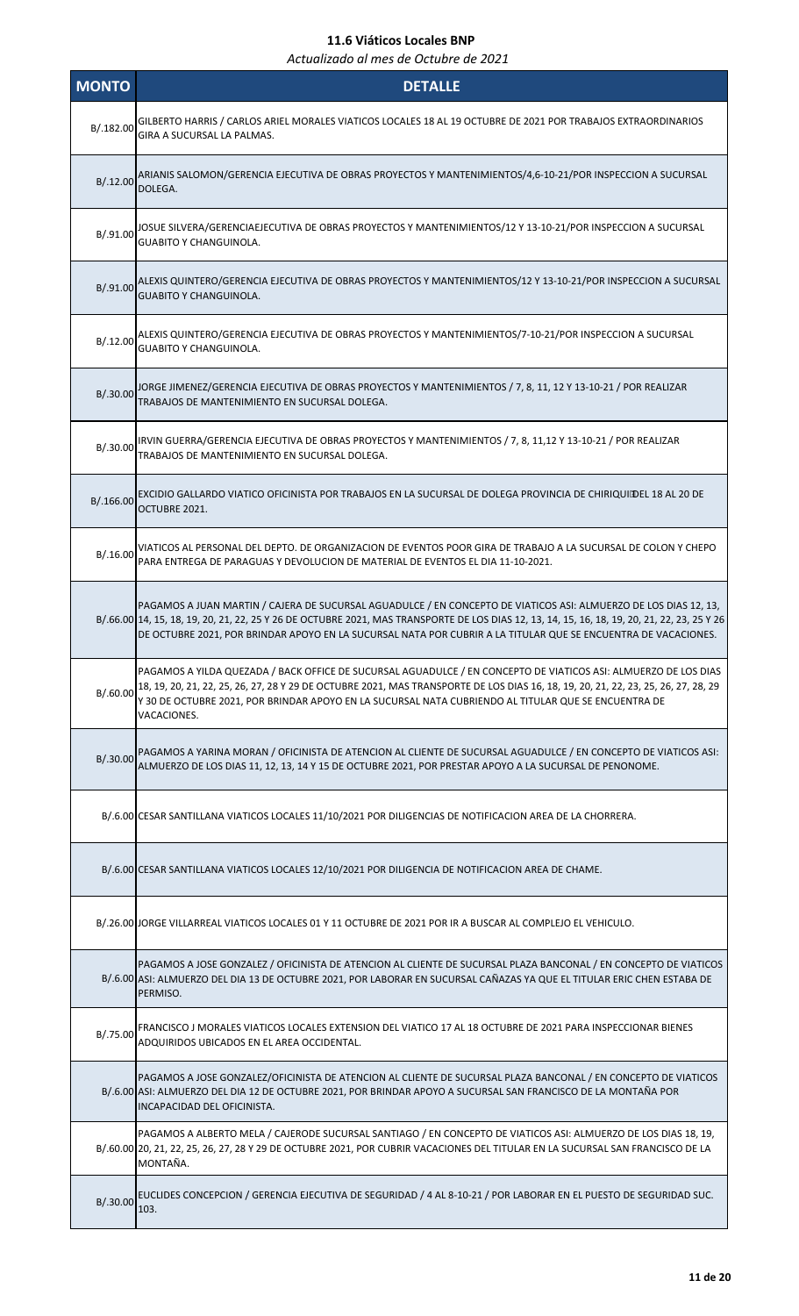| <b>MONTO</b> | <b>DETALLE</b>                                                                                                                                                                                                                                                                                                                                                                     |
|--------------|------------------------------------------------------------------------------------------------------------------------------------------------------------------------------------------------------------------------------------------------------------------------------------------------------------------------------------------------------------------------------------|
| B/.182.00    | GILBERTO HARRIS / CARLOS ARIEL MORALES VIATICOS LOCALES 18 AL 19 OCTUBRE DE 2021 POR TRABAJOS EXTRAORDINARIOS<br>GIRA A SUCURSAL LA PALMAS.                                                                                                                                                                                                                                        |
| B/.12.00     | ARIANIS SALOMON/GERENCIA EJECUTIVA DE OBRAS PROYECTOS Y MANTENIMIENTOS/4,6-10-21/POR INSPECCION A SUCURSAL<br>DOLEGA.                                                                                                                                                                                                                                                              |
| B/.91.00     | JOSUE SILVERA/GERENCIAEJECUTIVA DE OBRAS PROYECTOS Y MANTENIMIENTOS/12 Y 13-10-21/POR INSPECCION A SUCURSAL<br><b>GUABITO Y CHANGUINOLA.</b>                                                                                                                                                                                                                                       |
| B/.91.00     | ALEXIS QUINTERO/GERENCIA EJECUTIVA DE OBRAS PROYECTOS Y MANTENIMIENTOS/12 Y 13-10-21/POR INSPECCION A SUCURSAL<br><b>GUABITO Y CHANGUINOLA.</b>                                                                                                                                                                                                                                    |
| B/.12.00     | ALEXIS QUINTERO/GERENCIA EJECUTIVA DE OBRAS PROYECTOS Y MANTENIMIENTOS/7-10-21/POR INSPECCION A SUCURSAL<br><b>GUABITO Y CHANGUINOLA.</b>                                                                                                                                                                                                                                          |
|              | B/.30.00 JORGE JIMENEZ/GERENCIA EJECUTIVA DE OBRAS PROYECTOS Y MANTENIMIENTOS / 7, 8, 11, 12 Y 13-10-21 / POR REALIZAR<br>TRABAJOS DE MANTENIMIENTO EN SUCURSAL DOLEGA.                                                                                                                                                                                                            |
| B/.30.00     | IRVIN GUERRA/GERENCIA EJECUTIVA DE OBRAS PROYECTOS Y MANTENIMIENTOS / 7, 8, 11,12 Y 13-10-21 / POR REALIZAR<br>TRABAJOS DE MANTENIMIENTO EN SUCURSAL DOLEGA.                                                                                                                                                                                                                       |
| B/.166.00    | EXCIDIO GALLARDO VIATICO OFICINISTA POR TRABAJOS EN LA SUCURSAL DE DOLEGA PROVINCIA DE CHIRIQUI DEL 18 AL 20 DE<br>OCTUBRE 2021.                                                                                                                                                                                                                                                   |
| B/.16.00     | VIATICOS AL PERSONAL DEL DEPTO. DE ORGANIZACION DE EVENTOS POOR GIRA DE TRABAJO A LA SUCURSAL DE COLON Y CHEPO<br>PARA ENTREGA DE PARAGUAS Y DEVOLUCION DE MATERIAL DE EVENTOS EL DIA 11-10-2021.                                                                                                                                                                                  |
|              | PAGAMOS A JUAN MARTIN / CAJERA DE SUCURSAL AGUADULCE / EN CONCEPTO DE VIATICOS ASI: ALMUERZO DE LOS DIAS 12, 13,<br>B/.66.00 14, 15, 18, 19, 20, 21, 22, 25 Y 26 DE OCTUBRE 2021, MAS TRANSPORTE DE LOS DIAS 12, 13, 14, 15, 16, 18, 19, 20, 21, 22, 23, 25 Y 26<br>DE OCTUBRE 2021, POR BRINDAR APOYO EN LA SUCURSAL NATA POR CUBRIR A LA TITULAR QUE SE ENCUENTRA DE VACACIONES. |
| B/0.60.00    | PAGAMOS A YILDA QUEZADA / BACK OFFICE DE SUCURSAL AGUADULCE / EN CONCEPTO DE VIATICOS ASI: ALMUERZO DE LOS DIAS<br>18, 19, 20, 21, 22, 25, 26, 27, 28 Y 29 DE OCTUBRE 2021, MAS TRANSPORTE DE LOS DIAS 16, 18, 19, 20, 21, 22, 23, 25, 26, 27, 28, 29<br>Y 30 DE OCTUBRE 2021, POR BRINDAR APOYO EN LA SUCURSAL NATA CUBRIENDO AL TITULAR QUE SE ENCUENTRA DE<br>VACACIONES.       |
| B/.30.00     | PAGAMOS A YARINA MORAN / OFICINISTA DE ATENCION AL CLIENTE DE SUCURSAL AGUADULCE / EN CONCEPTO DE VIATICOS ASI:<br>ALMUERZO DE LOS DIAS 11, 12, 13, 14 Y 15 DE OCTUBRE 2021, POR PRESTAR APOYO A LA SUCURSAL DE PENONOME.                                                                                                                                                          |
|              | B/.6.00 CESAR SANTILLANA VIATICOS LOCALES 11/10/2021 POR DILIGENCIAS DE NOTIFICACION AREA DE LA CHORRERA.                                                                                                                                                                                                                                                                          |
|              | B/.6.00 CESAR SANTILLANA VIATICOS LOCALES 12/10/2021 POR DILIGENCIA DE NOTIFICACION AREA DE CHAME.                                                                                                                                                                                                                                                                                 |
|              | B/.26.00 JORGE VILLARREAL VIATICOS LOCALES 01 Y 11 OCTUBRE DE 2021 POR IR A BUSCAR AL COMPLEJO EL VEHICULO.                                                                                                                                                                                                                                                                        |
|              | PAGAMOS A JOSE GONZALEZ / OFICINISTA DE ATENCION AL CLIENTE DE SUCURSAL PLAZA BANCONAL / EN CONCEPTO DE VIATICOS<br>B/.6.00 ASI: ALMUERZO DEL DIA 13 DE OCTUBRE 2021, POR LABORAR EN SUCURSAL CAÑAZAS YA QUE EL TITULAR ERIC CHEN ESTABA DE<br>PERMISO.                                                                                                                            |
| B/.75.00     | FRANCISCO J MORALES VIATICOS LOCALES EXTENSION DEL VIATICO 17 AL 18 OCTUBRE DE 2021 PARA INSPECCIONAR BIENES<br>ADQUIRIDOS UBICADOS EN EL AREA OCCIDENTAL.                                                                                                                                                                                                                         |
|              | PAGAMOS A JOSE GONZALEZ/OFICINISTA DE ATENCION AL CLIENTE DE SUCURSAL PLAZA BANCONAL / EN CONCEPTO DE VIATICOS<br>B/.6.00 ASI: ALMUERZO DEL DIA 12 DE OCTUBRE 2021, POR BRINDAR APOYO A SUCURSAL SAN FRANCISCO DE LA MONTAÑA POR<br>INCAPACIDAD DEL OFICINISTA.                                                                                                                    |
|              | PAGAMOS A ALBERTO MELA / CAJERODE SUCURSAL SANTIAGO / EN CONCEPTO DE VIATICOS ASI: ALMUERZO DE LOS DIAS 18, 19,<br>B/.60.00 20, 21, 22, 25, 26, 27, 28 Y 29 DE OCTUBRE 2021, POR CUBRIR VACACIONES DEL TITULAR EN LA SUCURSAL SAN FRANCISCO DE LA<br>MONTAÑA.                                                                                                                      |
| B/.30.00     | EUCLIDES CONCEPCION / GERENCIA EJECUTIVA DE SEGURIDAD / 4 AL 8-10-21 / POR LABORAR EN EL PUESTO DE SEGURIDAD SUC.<br>103.                                                                                                                                                                                                                                                          |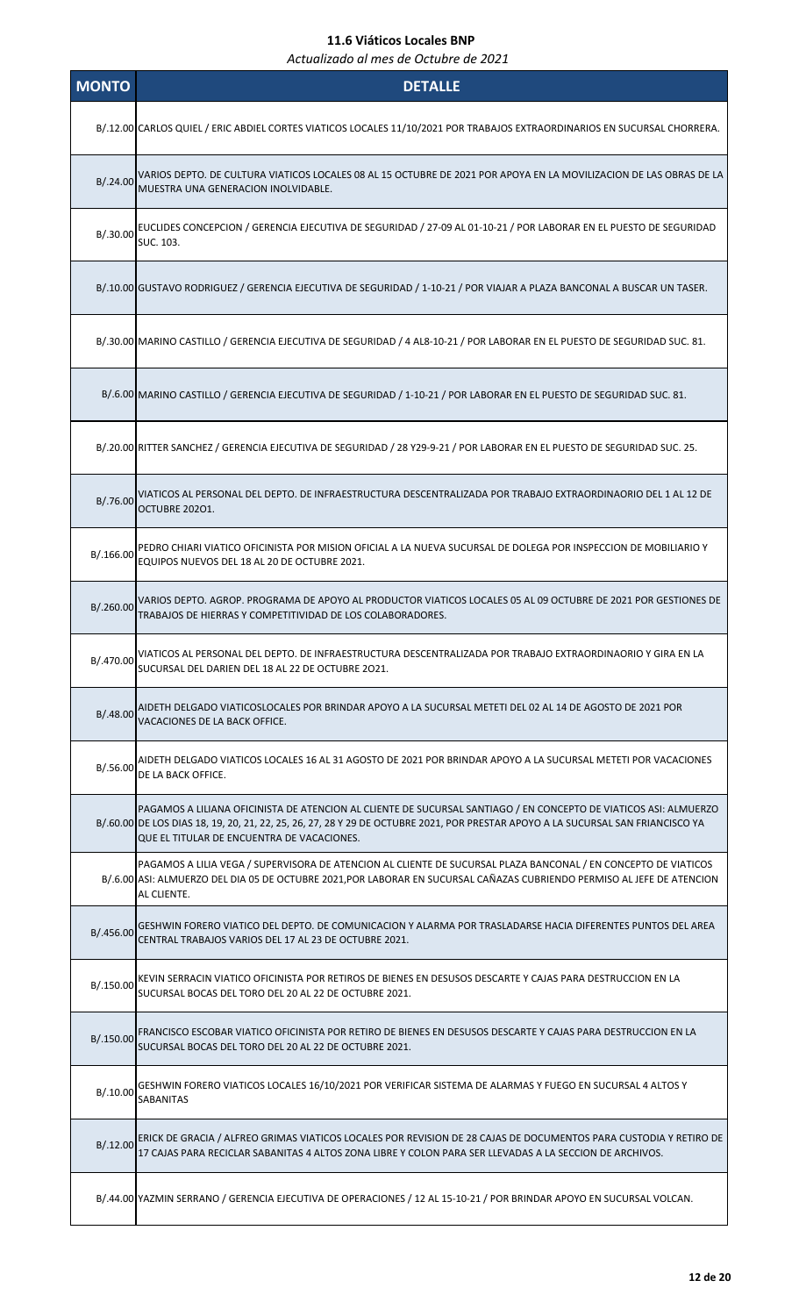| <b>MONTO</b> | <b>DETALLE</b>                                                                                                                                                                                                                                                                                    |
|--------------|---------------------------------------------------------------------------------------------------------------------------------------------------------------------------------------------------------------------------------------------------------------------------------------------------|
|              | B/.12.00 CARLOS QUIEL / ERIC ABDIEL CORTES VIATICOS LOCALES 11/10/2021 POR TRABAJOS EXTRAORDINARIOS EN SUCURSAL CHORRERA.                                                                                                                                                                         |
| B/.24.00     | VARIOS DEPTO. DE CULTURA VIATICOS LOCALES 08 AL 15 OCTUBRE DE 2021 POR APOYA EN LA MOVILIZACION DE LAS OBRAS DE LA<br>MUESTRA UNA GENERACION INOLVIDABLE.                                                                                                                                         |
| B/.30.00     | EUCLIDES CONCEPCION / GERENCIA EJECUTIVA DE SEGURIDAD / 27-09 AL 01-10-21 / POR LABORAR EN EL PUESTO DE SEGURIDAD<br>SUC. 103.                                                                                                                                                                    |
|              | B/.10.00 GUSTAVO RODRIGUEZ / GERENCIA EJECUTIVA DE SEGURIDAD / 1-10-21 / POR VIAJAR A PLAZA BANCONAL A BUSCAR UN TASER.                                                                                                                                                                           |
|              | B/.30.00 MARINO CASTILLO / GERENCIA EJECUTIVA DE SEGURIDAD / 4 AL8-10-21 / POR LABORAR EN EL PUESTO DE SEGURIDAD SUC. 81.                                                                                                                                                                         |
|              | B/.6.00 MARINO CASTILLO / GERENCIA EJECUTIVA DE SEGURIDAD / 1-10-21 / POR LABORAR EN EL PUESTO DE SEGURIDAD SUC. 81.                                                                                                                                                                              |
|              | B/.20.00 RITTER SANCHEZ / GERENCIA EJECUTIVA DE SEGURIDAD / 28 Y29-9-21 / POR LABORAR EN EL PUESTO DE SEGURIDAD SUC. 25.                                                                                                                                                                          |
| B/.76.00     | VIATICOS AL PERSONAL DEL DEPTO. DE INFRAESTRUCTURA DESCENTRALIZADA POR TRABAJO EXTRAORDINAORIO DEL 1 AL 12 DE<br>OCTUBRE 20201.                                                                                                                                                                   |
| B/.166.00    | PEDRO CHIARI VIATICO OFICINISTA POR MISION OFICIAL A LA NUEVA SUCURSAL DE DOLEGA POR INSPECCION DE MOBILIARIO Y<br>EQUIPOS NUEVOS DEL 18 AL 20 DE OCTUBRE 2021.                                                                                                                                   |
| B/.260.00    | VARIOS DEPTO. AGROP. PROGRAMA DE APOYO AL PRODUCTOR VIATICOS LOCALES 05 AL 09 OCTUBRE DE 2021 POR GESTIONES DE<br>TRABAJOS DE HIERRAS Y COMPETITIVIDAD DE LOS COLABORADORES.                                                                                                                      |
| B/.470.00    | VIATICOS AL PERSONAL DEL DEPTO. DE INFRAESTRUCTURA DESCENTRALIZADA POR TRABAJO EXTRAORDINAORIO Y GIRA EN LA<br>SUCURSAL DEL DARIEN DEL 18 AL 22 DE OCTUBRE 2021.                                                                                                                                  |
| B/0.48.00    | AIDETH DELGADO VIATICOSLOCALES POR BRINDAR APOYO A LA SUCURSAL METETI DEL 02 AL 14 DE AGOSTO DE 2021 POR<br>VACACIONES DE LA BACK OFFICE.                                                                                                                                                         |
| B/.56.00     | AIDETH DELGADO VIATICOS LOCALES 16 AL 31 AGOSTO DE 2021 POR BRINDAR APOYO A LA SUCURSAL METETI POR VACACIONES<br>DE LA BACK OFFICE.                                                                                                                                                               |
|              | PAGAMOS A LILIANA OFICINISTA DE ATENCION AL CLIENTE DE SUCURSAL SANTIAGO / EN CONCEPTO DE VIATICOS ASI: ALMUERZO<br>B/.60.00 DE LOS DIAS 18, 19, 20, 21, 22, 25, 26, 27, 28 Y 29 DE OCTUBRE 2021, POR PRESTAR APOYO A LA SUCURSAL SAN FRIANCISCO YA<br>QUE EL TITULAR DE ENCUENTRA DE VACACIONES. |
|              | PAGAMOS A LILIA VEGA / SUPERVISORA DE ATENCION AL CLIENTE DE SUCURSAL PLAZA BANCONAL / EN CONCEPTO DE VIATICOS<br>B/.6.00 ASI: ALMUERZO DEL DIA 05 DE OCTUBRE 2021, POR LABORAR EN SUCURSAL CAÑAZAS CUBRIENDO PERMISO AL JEFE DE ATENCION<br>AL CLIENTE.                                          |
| B/.456.00    | GESHWIN FORERO VIATICO DEL DEPTO. DE COMUNICACION Y ALARMA POR TRASLADARSE HACIA DIFERENTES PUNTOS DEL AREA<br>CENTRAL TRABAJOS VARIOS DEL 17 AL 23 DE OCTUBRE 2021.                                                                                                                              |
| B/.150.00    | KEVIN SERRACIN VIATICO OFICINISTA POR RETIROS DE BIENES EN DESUSOS DESCARTE Y CAJAS PARA DESTRUCCION EN LA<br>SUCURSAL BOCAS DEL TORO DEL 20 AL 22 DE OCTUBRE 2021.                                                                                                                               |
| B/.150.00    | FRANCISCO ESCOBAR VIATICO OFICINISTA POR RETIRO DE BIENES EN DESUSOS DESCARTE Y CAJAS PARA DESTRUCCION EN LA<br>SUCURSAL BOCAS DEL TORO DEL 20 AL 22 DE OCTUBRE 2021.                                                                                                                             |
| B/.10.00     | GESHWIN FORERO VIATICOS LOCALES 16/10/2021 POR VERIFICAR SISTEMA DE ALARMAS Y FUEGO EN SUCURSAL 4 ALTOS Y<br><b>SABANITAS</b>                                                                                                                                                                     |
| B/0.12.00    | ERICK DE GRACIA / ALFREO GRIMAS VIATICOS LOCALES POR REVISION DE 28 CAJAS DE DOCUMENTOS PARA CUSTODIA Y RETIRO DE<br>17 CAJAS PARA RECICLAR SABANITAS 4 ALTOS ZONA LIBRE Y COLON PARA SER LLEVADAS A LA SECCION DE ARCHIVOS.                                                                      |
|              | B/.44.00 YAZMIN SERRANO / GERENCIA EJECUTIVA DE OPERACIONES / 12 AL 15-10-21 / POR BRINDAR APOYO EN SUCURSAL VOLCAN.                                                                                                                                                                              |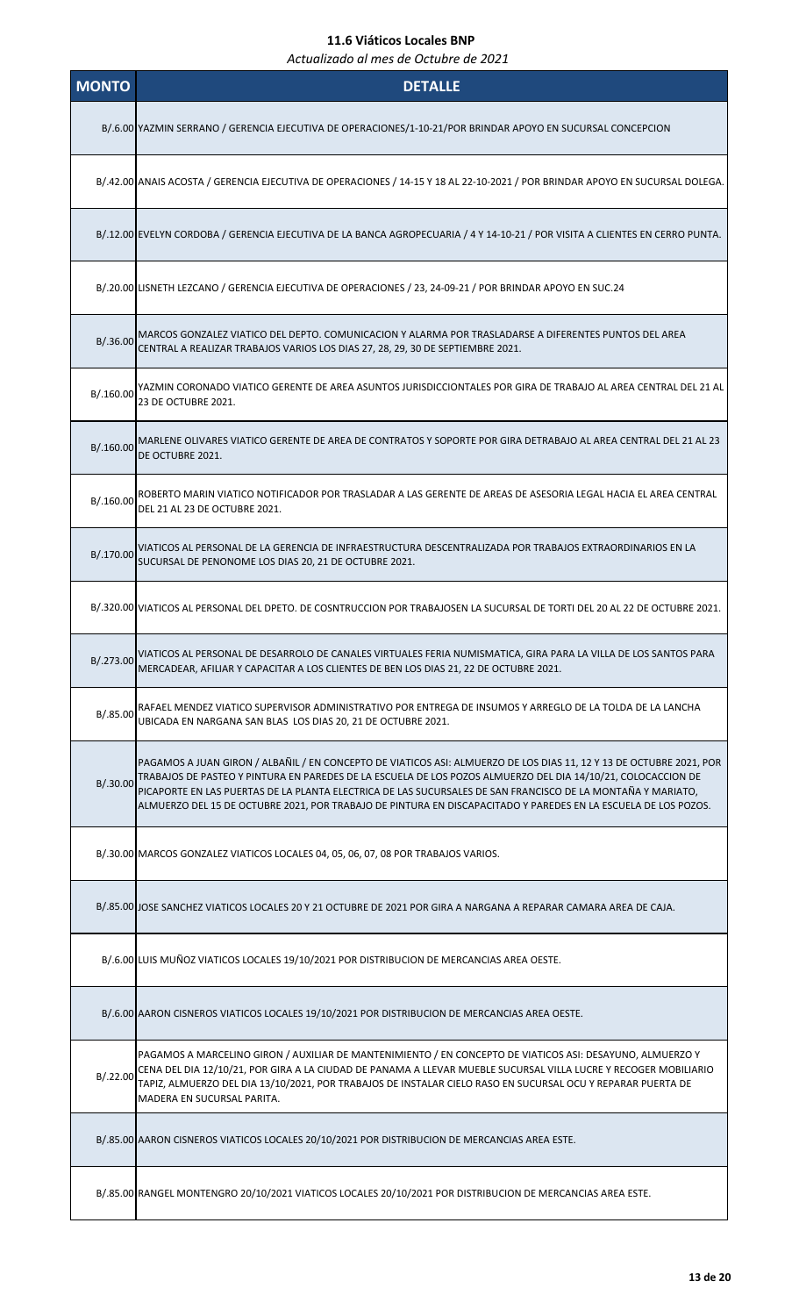| <b>MONTO</b> | <b>DETALLE</b>                                                                                                                                                                                                                                                                                                                                                                                                                                                       |
|--------------|----------------------------------------------------------------------------------------------------------------------------------------------------------------------------------------------------------------------------------------------------------------------------------------------------------------------------------------------------------------------------------------------------------------------------------------------------------------------|
|              | B/.6.00 YAZMIN SERRANO / GERENCIA EJECUTIVA DE OPERACIONES/1-10-21/POR BRINDAR APOYO EN SUCURSAL CONCEPCION                                                                                                                                                                                                                                                                                                                                                          |
|              | B/.42.00 ANAIS ACOSTA / GERENCIA EJECUTIVA DE OPERACIONES / 14-15 Y 18 AL 22-10-2021 / POR BRINDAR APOYO EN SUCURSAL DOLEGA.                                                                                                                                                                                                                                                                                                                                         |
|              | B/.12.00 EVELYN CORDOBA / GERENCIA EJECUTIVA DE LA BANCA AGROPECUARIA / 4 Y 14-10-21 / POR VISITA A CLIENTES EN CERRO PUNTA.                                                                                                                                                                                                                                                                                                                                         |
|              | B/.20.00 LISNETH LEZCANO / GERENCIA EJECUTIVA DE OPERACIONES / 23, 24-09-21 / POR BRINDAR APOYO EN SUC.24                                                                                                                                                                                                                                                                                                                                                            |
| B/.36.00     | MARCOS GONZALEZ VIATICO DEL DEPTO. COMUNICACION Y ALARMA POR TRASLADARSE A DIFERENTES PUNTOS DEL AREA<br>CENTRAL A REALIZAR TRABAJOS VARIOS LOS DIAS 27, 28, 29, 30 DE SEPTIEMBRE 2021.                                                                                                                                                                                                                                                                              |
| B/.160.00    | YAZMIN CORONADO VIATICO GERENTE DE AREA ASUNTOS JURISDICCIONTALES POR GIRA DE TRABAJO AL AREA CENTRAL DEL 21 AL<br>23 DE OCTUBRE 2021.                                                                                                                                                                                                                                                                                                                               |
| B/.160.00    | MARLENE OLIVARES VIATICO GERENTE DE AREA DE CONTRATOS Y SOPORTE POR GIRA DETRABAJO AL AREA CENTRAL DEL 21 AL 23<br>DE OCTUBRE 2021.                                                                                                                                                                                                                                                                                                                                  |
| B/0.160.00   | ROBERTO MARIN VIATICO NOTIFICADOR POR TRASLADAR A LAS GERENTE DE AREAS DE ASESORIA LEGAL HACIA EL AREA CENTRAL<br>DEL 21 AL 23 DE OCTUBRE 2021.                                                                                                                                                                                                                                                                                                                      |
| B/.170.00    | VIATICOS AL PERSONAL DE LA GERENCIA DE INFRAESTRUCTURA DESCENTRALIZADA POR TRABAJOS EXTRAORDINARIOS EN LA<br>SUCURSAL DE PENONOME LOS DIAS 20, 21 DE OCTUBRE 2021.                                                                                                                                                                                                                                                                                                   |
|              | B/.320.00 VIATICOS AL PERSONAL DEL DPETO. DE COSNTRUCCION POR TRABAJOSEN LA SUCURSAL DE TORTI DEL 20 AL 22 DE OCTUBRE 2021.                                                                                                                                                                                                                                                                                                                                          |
| B/.273.00    | VIATICOS AL PERSONAL DE DESARROLO DE CANALES VIRTUALES FERIA NUMISMATICA, GIRA PARA LA VILLA DE LOS SANTOS PARA<br>MERCADEAR, AFILIAR Y CAPACITAR A LOS CLIENTES DE BEN LOS DIAS 21, 22 DE OCTUBRE 2021.                                                                                                                                                                                                                                                             |
| B/.85.00     | RAFAEL MENDEZ VIATICO SUPERVISOR ADMINISTRATIVO POR ENTREGA DE INSUMOS Y ARREGLO DE LA TOLDA DE LA LANCHA<br>UBICADA EN NARGANA SAN BLAS LOS DIAS 20, 21 DE OCTUBRE 2021.                                                                                                                                                                                                                                                                                            |
| B/.30.00     | PAGAMOS A JUAN GIRON / ALBAÑIL / EN CONCEPTO DE VIATICOS ASI: ALMUERZO DE LOS DIAS 11, 12 Y 13 DE OCTUBRE 2021, POR<br>TRABAJOS DE PASTEO Y PINTURA EN PAREDES DE LA ESCUELA DE LOS POZOS ALMUERZO DEL DIA 14/10/21, COLOCACCION DE<br>PICAPORTE EN LAS PUERTAS DE LA PLANTA ELECTRICA DE LAS SUCURSALES DE SAN FRANCISCO DE LA MONTAÑA Y MARIATO,<br>ALMUERZO DEL 15 DE OCTUBRE 2021, POR TRABAJO DE PINTURA EN DISCAPACITADO Y PAREDES EN LA ESCUELA DE LOS POZOS. |
|              | B/.30.00 MARCOS GONZALEZ VIATICOS LOCALES 04, 05, 06, 07, 08 POR TRABAJOS VARIOS.                                                                                                                                                                                                                                                                                                                                                                                    |
|              | B/.85.00 JJOSE SANCHEZ VIATICOS LOCALES 20 Y 21 OCTUBRE DE 2021 POR GIRA A NARGANA A REPARAR CAMARA AREA DE CAJA.                                                                                                                                                                                                                                                                                                                                                    |
|              | B/.6.00 LUIS MUÑOZ VIATICOS LOCALES 19/10/2021 POR DISTRIBUCION DE MERCANCIAS AREA OESTE.                                                                                                                                                                                                                                                                                                                                                                            |
|              | B/.6.00 AARON CISNEROS VIATICOS LOCALES 19/10/2021 POR DISTRIBUCION DE MERCANCIAS AREA OESTE.                                                                                                                                                                                                                                                                                                                                                                        |
| B/.22.00     | PAGAMOS A MARCELINO GIRON / AUXILIAR DE MANTENIMIENTO / EN CONCEPTO DE VIATICOS ASI: DESAYUNO, ALMUERZO Y<br>CENA DEL DIA 12/10/21, POR GIRA A LA CIUDAD DE PANAMA A LLEVAR MUEBLE SUCURSAL VILLA LUCRE Y RECOGER MOBILIARIO<br>TAPIZ, ALMUERZO DEL DIA 13/10/2021, POR TRABAJOS DE INSTALAR CIELO RASO EN SUCURSAL OCU Y REPARAR PUERTA DE<br>MADERA EN SUCURSAL PARITA.                                                                                            |
|              | B/.85.00 AARON CISNEROS VIATICOS LOCALES 20/10/2021 POR DISTRIBUCION DE MERCANCIAS AREA ESTE.                                                                                                                                                                                                                                                                                                                                                                        |
|              | B/.85.00 RANGEL MONTENGRO 20/10/2021 VIATICOS LOCALES 20/10/2021 POR DISTRIBUCION DE MERCANCIAS AREA ESTE.                                                                                                                                                                                                                                                                                                                                                           |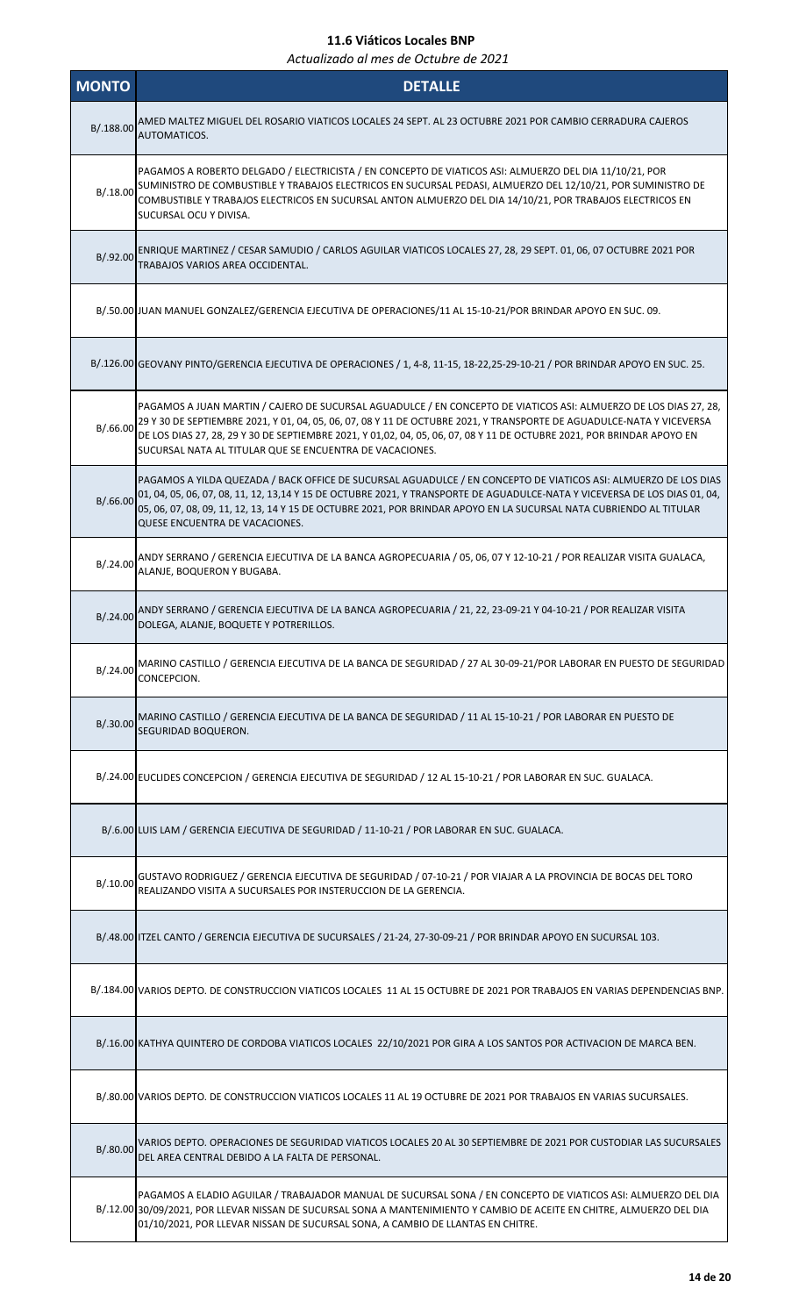| <b>MONTO</b> | <b>DETALLE</b>                                                                                                                                                                                                                                                                                                                                                                                                                  |
|--------------|---------------------------------------------------------------------------------------------------------------------------------------------------------------------------------------------------------------------------------------------------------------------------------------------------------------------------------------------------------------------------------------------------------------------------------|
| B/.188.00    | AMED MALTEZ MIGUEL DEL ROSARIO VIATICOS LOCALES 24 SEPT. AL 23 OCTUBRE 2021 POR CAMBIO CERRADURA CAJEROS<br>AUTOMATICOS.                                                                                                                                                                                                                                                                                                        |
| B/.18.00     | PAGAMOS A ROBERTO DELGADO / ELECTRICISTA / EN CONCEPTO DE VIATICOS ASI: ALMUERZO DEL DIA 11/10/21, POR<br>SUMINISTRO DE COMBUSTIBLE Y TRABAJOS ELECTRICOS EN SUCURSAL PEDASI, ALMUERZO DEL 12/10/21, POR SUMINISTRO DE<br>COMBUSTIBLE Y TRABAJOS ELECTRICOS EN SUCURSAL ANTON ALMUERZO DEL DIA 14/10/21, POR TRABAJOS ELECTRICOS EN<br>SUCURSAL OCU Y DIVISA.                                                                   |
| B/.92.00     | ENRIQUE MARTINEZ / CESAR SAMUDIO / CARLOS AGUILAR VIATICOS LOCALES 27, 28, 29 SEPT. 01, 06, 07 OCTUBRE 2021 POR<br>TRABAJOS VARIOS AREA OCCIDENTAL.                                                                                                                                                                                                                                                                             |
|              | B/.50.00 JUAN MANUEL GONZALEZ/GERENCIA EJECUTIVA DE OPERACIONES/11 AL 15-10-21/POR BRINDAR APOYO EN SUC. 09.                                                                                                                                                                                                                                                                                                                    |
|              | B/.126.00 GEOVANY PINTO/GERENCIA EJECUTIVA DE OPERACIONES / 1, 4-8, 11-15, 18-22,25-29-10-21 / POR BRINDAR APOYO EN SUC. 25.                                                                                                                                                                                                                                                                                                    |
| B/.66.00     | PAGAMOS A JUAN MARTIN / CAJERO DE SUCURSAL AGUADULCE / EN CONCEPTO DE VIATICOS ASI: ALMUERZO DE LOS DIAS 27, 28,<br>29 Y 30 DE SEPTIEMBRE 2021, Y 01, 04, 05, 06, 07, 08 Y 11 DE OCTUBRE 2021, Y TRANSPORTE DE AGUADULCE-NATA Y VICEVERSA<br>DE LOS DIAS 27, 28, 29 Y 30 DE SEPTIEMBRE 2021, Y 01,02, 04, 05, 06, 07, 08 Y 11 DE OCTUBRE 2021, POR BRINDAR APOYO EN<br>SUCURSAL NATA AL TITULAR QUE SE ENCUENTRA DE VACACIONES. |
| B/.66.00     | PAGAMOS A YILDA QUEZADA / BACK OFFICE DE SUCURSAL AGUADULCE / EN CONCEPTO DE VIATICOS ASI: ALMUERZO DE LOS DIAS<br>01, 04, 05, 06, 07, 08, 11, 12, 13,14 Y 15 DE OCTUBRE 2021, Y TRANSPORTE DE AGUADULCE-NATA Y VICEVERSA DE LOS DIAS 01, 04,<br>05, 06, 07, 08, 09, 11, 12, 13, 14 Y 15 DE OCTUBRE 2021, POR BRINDAR APOYO EN LA SUCURSAL NATA CUBRIENDO AL TITULAR<br>QUESE ENCUENTRA DE VACACIONES.                          |
| B/.24.00     | ANDY SERRANO / GERENCIA EJECUTIVA DE LA BANCA AGROPECUARIA / 05, 06, 07 Y 12-10-21 / POR REALIZAR VISITA GUALACA,<br>ALANJE, BOQUERON Y BUGABA.                                                                                                                                                                                                                                                                                 |
| B/.24.00     | ANDY SERRANO / GERENCIA EJECUTIVA DE LA BANCA AGROPECUARIA / 21, 22, 23-09-21 Y 04-10-21 / POR REALIZAR VISITA<br>DOLEGA, ALANJE, BOQUETE Y POTRERILLOS.                                                                                                                                                                                                                                                                        |
| B/.24.00     | MARINO CASTILLO / GERENCIA EJECUTIVA DE LA BANCA DE SEGURIDAD / 27 AL 30-09-21/POR LABORAR EN PUESTO DE SEGURIDAD<br>CONCEPCION.                                                                                                                                                                                                                                                                                                |
| B/.30.00     | MARINO CASTILLO / GERENCIA EJECUTIVA DE LA BANCA DE SEGURIDAD / 11 AL 15-10-21 / POR LABORAR EN PUESTO DE<br>SEGURIDAD BOQUERON.                                                                                                                                                                                                                                                                                                |
|              | B/.24.00 EUCLIDES CONCEPCION / GERENCIA EJECUTIVA DE SEGURIDAD / 12 AL 15-10-21 / POR LABORAR EN SUC. GUALACA.                                                                                                                                                                                                                                                                                                                  |
|              | B/.6.00 LUIS LAM / GERENCIA EJECUTIVA DE SEGURIDAD / 11-10-21 / POR LABORAR EN SUC. GUALACA.                                                                                                                                                                                                                                                                                                                                    |
| B/.10.00     | GUSTAVO RODRIGUEZ / GERENCIA EJECUTIVA DE SEGURIDAD / 07-10-21 / POR VIAJAR A LA PROVINCIA DE BOCAS DEL TORO<br>REALIZANDO VISITA A SUCURSALES POR INSTERUCCION DE LA GERENCIA.                                                                                                                                                                                                                                                 |
|              | B/.48.00 ITZEL CANTO / GERENCIA EJECUTIVA DE SUCURSALES / 21-24, 27-30-09-21 / POR BRINDAR APOYO EN SUCURSAL 103.                                                                                                                                                                                                                                                                                                               |
|              | B/.184.00 VARIOS DEPTO. DE CONSTRUCCION VIATICOS LOCALES 11 AL 15 OCTUBRE DE 2021 POR TRABAJOS EN VARIAS DEPENDENCIAS BNP.                                                                                                                                                                                                                                                                                                      |
|              | B/.16.00 KATHYA QUINTERO DE CORDOBA VIATICOS LOCALES 22/10/2021 POR GIRA A LOS SANTOS POR ACTIVACION DE MARCA BEN.                                                                                                                                                                                                                                                                                                              |
|              | B/.80.00 VARIOS DEPTO. DE CONSTRUCCION VIATICOS LOCALES 11 AL 19 OCTUBRE DE 2021 POR TRABAJOS EN VARIAS SUCURSALES.                                                                                                                                                                                                                                                                                                             |
| B/.80.00     | VARIOS DEPTO. OPERACIONES DE SEGURIDAD VIATICOS LOCALES 20 AL 30 SEPTIEMBRE DE 2021 POR CUSTODIAR LAS SUCURSALES<br>DEL AREA CENTRAL DEBIDO A LA FALTA DE PERSONAL.                                                                                                                                                                                                                                                             |
|              | PAGAMOS A ELADIO AGUILAR / TRABAJADOR MANUAL DE SUCURSAL SONA / EN CONCEPTO DE VIATICOS ASI: ALMUERZO DEL DIA<br>B/.12.00 30/09/2021, POR LLEVAR NISSAN DE SUCURSAL SONA A MANTENIMIENTO Y CAMBIO DE ACEITE EN CHITRE, ALMUERZO DEL DIA<br>01/10/2021, POR LLEVAR NISSAN DE SUCURSAL SONA, A CAMBIO DE LLANTAS EN CHITRE.                                                                                                       |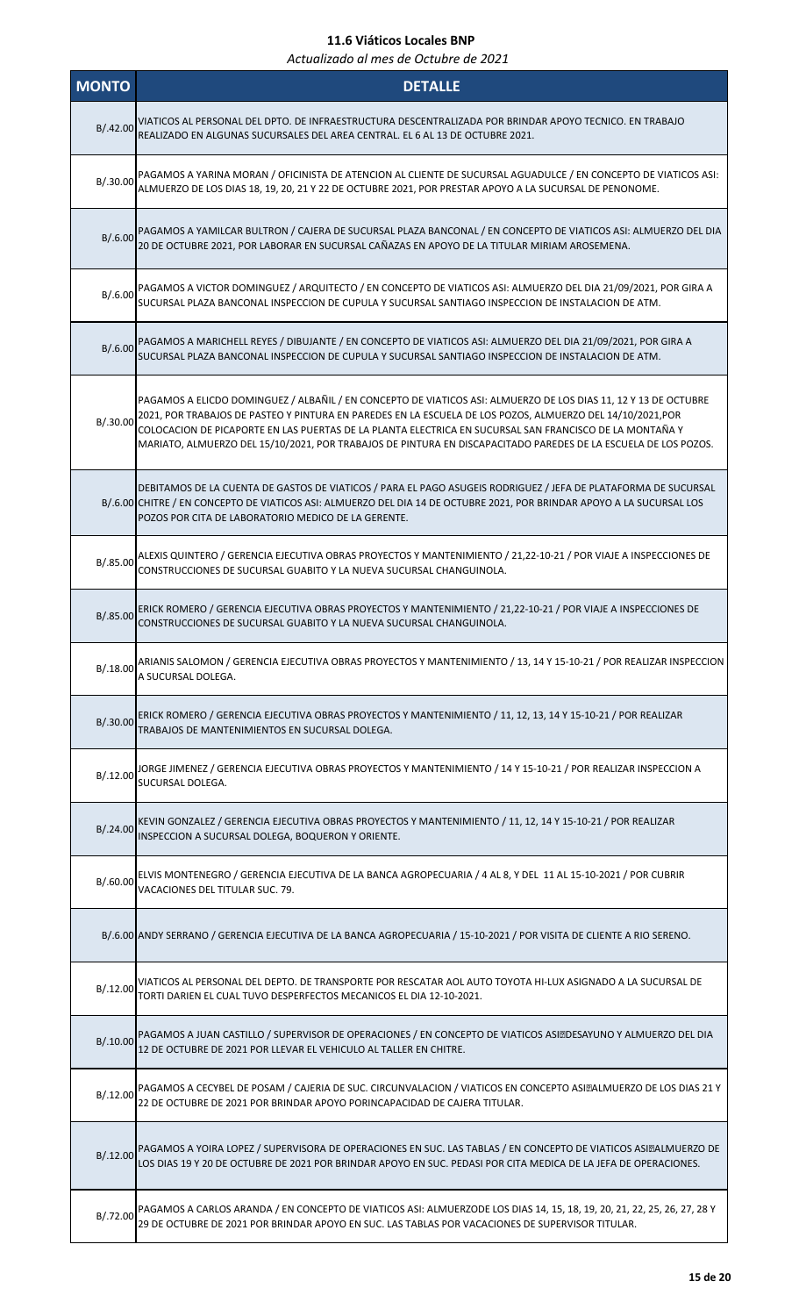| <b>MONTO</b> | <b>DETALLE</b>                                                                                                                                                                                                                                                                                                                                                                                                                                             |
|--------------|------------------------------------------------------------------------------------------------------------------------------------------------------------------------------------------------------------------------------------------------------------------------------------------------------------------------------------------------------------------------------------------------------------------------------------------------------------|
| B/.42.00     | VIATICOS AL PERSONAL DEL DPTO. DE INFRAESTRUCTURA DESCENTRALIZADA POR BRINDAR APOYO TECNICO. EN TRABAJO<br>REALIZADO EN ALGUNAS SUCURSALES DEL AREA CENTRAL. EL 6 AL 13 DE OCTUBRE 2021.                                                                                                                                                                                                                                                                   |
| B/.30.00     | PAGAMOS A YARINA MORAN / OFICINISTA DE ATENCION AL CLIENTE DE SUCURSAL AGUADULCE / EN CONCEPTO DE VIATICOS ASI:<br>ALMUERZO DE LOS DIAS 18, 19, 20, 21 Y 22 DE OCTUBRE 2021, POR PRESTAR APOYO A LA SUCURSAL DE PENONOME.                                                                                                                                                                                                                                  |
|              | B/.6.00 PAGAMOS A YAMILCAR BULTRON / CAJERA DE SUCURSAL PLAZA BANCONAL / EN CONCEPTO DE VIATICOS ASI: ALMUERZO DEL DIA<br>20 DE OCTUBRE 2021, POR LABORAR EN SUCURSAL CAÑAZAS EN APOYO DE LA TITULAR MIRIAM AROSEMENA.                                                                                                                                                                                                                                     |
| B/.6.00      | PAGAMOS A VICTOR DOMINGUEZ / ARQUITECTO / EN CONCEPTO DE VIATICOS ASI: ALMUERZO DEL DIA 21/09/2021, POR GIRA A<br>SUCURSAL PLAZA BANCONAL INSPECCION DE CUPULA Y SUCURSAL SANTIAGO INSPECCION DE INSTALACION DE ATM.                                                                                                                                                                                                                                       |
| B/.6.00      | PAGAMOS A MARICHELL REYES / DIBUJANTE / EN CONCEPTO DE VIATICOS ASI: ALMUERZO DEL DIA 21/09/2021, POR GIRA A<br>SUCURSAL PLAZA BANCONAL INSPECCION DE CUPULA Y SUCURSAL SANTIAGO INSPECCION DE INSTALACION DE ATM.                                                                                                                                                                                                                                         |
| B/.30.00     | PAGAMOS A ELICDO DOMINGUEZ / ALBAÑIL / EN CONCEPTO DE VIATICOS ASI: ALMUERZO DE LOS DIAS 11, 12 Y 13 DE OCTUBRE<br>2021, POR TRABAJOS DE PASTEO Y PINTURA EN PAREDES EN LA ESCUELA DE LOS POZOS, ALMUERZO DEL 14/10/2021, POR<br>COLOCACION DE PICAPORTE EN LAS PUERTAS DE LA PLANTA ELECTRICA EN SUCURSAL SAN FRANCISCO DE LA MONTAÑA Y<br>MARIATO, ALMUERZO DEL 15/10/2021, POR TRABAJOS DE PINTURA EN DISCAPACITADO PAREDES DE LA ESCUELA DE LOS POZOS. |
|              | DEBITAMOS DE LA CUENTA DE GASTOS DE VIATICOS / PARA EL PAGO ASUGEIS RODRIGUEZ / JEFA DE PLATAFORMA DE SUCURSAL<br>B/.6.00 CHITRE / EN CONCEPTO DE VIATICOS ASI: ALMUERZO DEL DIA 14 DE OCTUBRE 2021, POR BRINDAR APOYO A LA SUCURSAL LOS<br>POZOS POR CITA DE LABORATORIO MEDICO DE LA GERENTE.                                                                                                                                                            |
| B/.85.00     | ALEXIS QUINTERO / GERENCIA EJECUTIVA OBRAS PROYECTOS Y MANTENIMIENTO / 21,22-10-21 / POR VIAJE A INSPECCIONES DE<br>CONSTRUCCIONES DE SUCURSAL GUABITO Y LA NUEVA SUCURSAL CHANGUINOLA.                                                                                                                                                                                                                                                                    |
| B/.85.00     | ERICK ROMERO / GERENCIA EJECUTIVA OBRAS PROYECTOS Y MANTENIMIENTO / 21,22-10-21 / POR VIAJE A INSPECCIONES DE<br>CONSTRUCCIONES DE SUCURSAL GUABITO Y LA NUEVA SUCURSAL CHANGUINOLA.                                                                                                                                                                                                                                                                       |
|              | B/.18.00 ARIANIS SALOMON / GERENCIA EJECUTIVA OBRAS PROYECTOS Y MANTENIMIENTO / 13, 14 Y 15-10-21 / POR REALIZAR INSPECCION<br>A SUCURSAL DOLEGA.                                                                                                                                                                                                                                                                                                          |
| B/.30.00     | ERICK ROMERO / GERENCIA EJECUTIVA OBRAS PROYECTOS Y MANTENIMIENTO / 11, 12, 13, 14 Y 15-10-21 / POR REALIZAR<br>TRABAJOS DE MANTENIMIENTOS EN SUCURSAL DOLEGA.                                                                                                                                                                                                                                                                                             |
| B/.12.00     | JORGE JIMENEZ / GERENCIA EJECUTIVA OBRAS PROYECTOS Y MANTENIMIENTO / 14 Y 15-10-21 / POR REALIZAR INSPECCION A<br>SUCURSAL DOLEGA.                                                                                                                                                                                                                                                                                                                         |
| B/.24.00     | KEVIN GONZALEZ / GERENCIA EJECUTIVA OBRAS PROYECTOS Y MANTENIMIENTO / 11, 12, 14 Y 15-10-21 / POR REALIZAR<br>INSPECCION A SUCURSAL DOLEGA, BOQUERON Y ORIENTE.                                                                                                                                                                                                                                                                                            |
| B/.60.00     | ELVIS MONTENEGRO / GERENCIA EJECUTIVA DE LA BANCA AGROPECUARIA / 4 AL 8, Y DEL 11 AL 15-10-2021 / POR CUBRIR<br>VACACIONES DEL TITULAR SUC. 79.                                                                                                                                                                                                                                                                                                            |
|              | B/.6.00 ANDY SERRANO / GERENCIA EJECUTIVA DE LA BANCA AGROPECUARIA / 15-10-2021 / POR VISITA DE CLIENTE A RIO SERENO.                                                                                                                                                                                                                                                                                                                                      |
| B/.12.00     | VIATICOS AL PERSONAL DEL DEPTO. DE TRANSPORTE POR RESCATAR AOL AUTO TOYOTA HI-LUX ASIGNADO A LA SUCURSAL DE<br>TORTI DARIEN EL CUAL TUVO DESPERFECTOS MECANICOS EL DIA 12-10-2021.                                                                                                                                                                                                                                                                         |
| B/.10.00     | PAGAMOS A JUAN CASTILLO / SUPERVISOR DE OPERACIONES / EN CONCEPTO DE VIATICOS ASI: DESAYUNO Y ALMUERZO DEL DIA<br>12 DE OCTUBRE DE 2021 POR LLEVAR EL VEHICULO AL TALLER EN CHITRE.                                                                                                                                                                                                                                                                        |
| B/.12.00     | PAGAMOS A CECYBEL DE POSAM / CAJERIA DE SUC. CIRCUNVALACION / VIATICOS EN CONCEPTO ASI • ALMUERZO DE LOS DIAS 21 Y<br>22 DE OCTUBRE DE 2021 POR BRINDAR APOYO PORINCAPACIDAD DE CAJERA TITULAR.                                                                                                                                                                                                                                                            |
|              | B/.12.00 PAGAMOS A YOIRA LOPEZ / SUPERVISORA DE OPERACIONES EN SUC. LAS TABLAS / EN CONCEPTO DE VIATICOS ASI. ALMUERZO DE<br>LOS DIAS 19 Y 20 DE OCTUBRE DE 2021 POR BRINDAR APOYO EN SUC. PEDASI POR CITA MEDICA DE LA JEFA DE OPERACIONES.                                                                                                                                                                                                               |
| B/.72.00     | PAGAMOS A CARLOS ARANDA / EN CONCEPTO DE VIATICOS ASI: ALMUERZODE LOS DIAS 14, 15, 18, 19, 20, 21, 22, 25, 26, 27, 28 Y<br>29 DE OCTUBRE DE 2021 POR BRINDAR APOYO EN SUC. LAS TABLAS POR VACACIONES DE SUPERVISOR TITULAR.                                                                                                                                                                                                                                |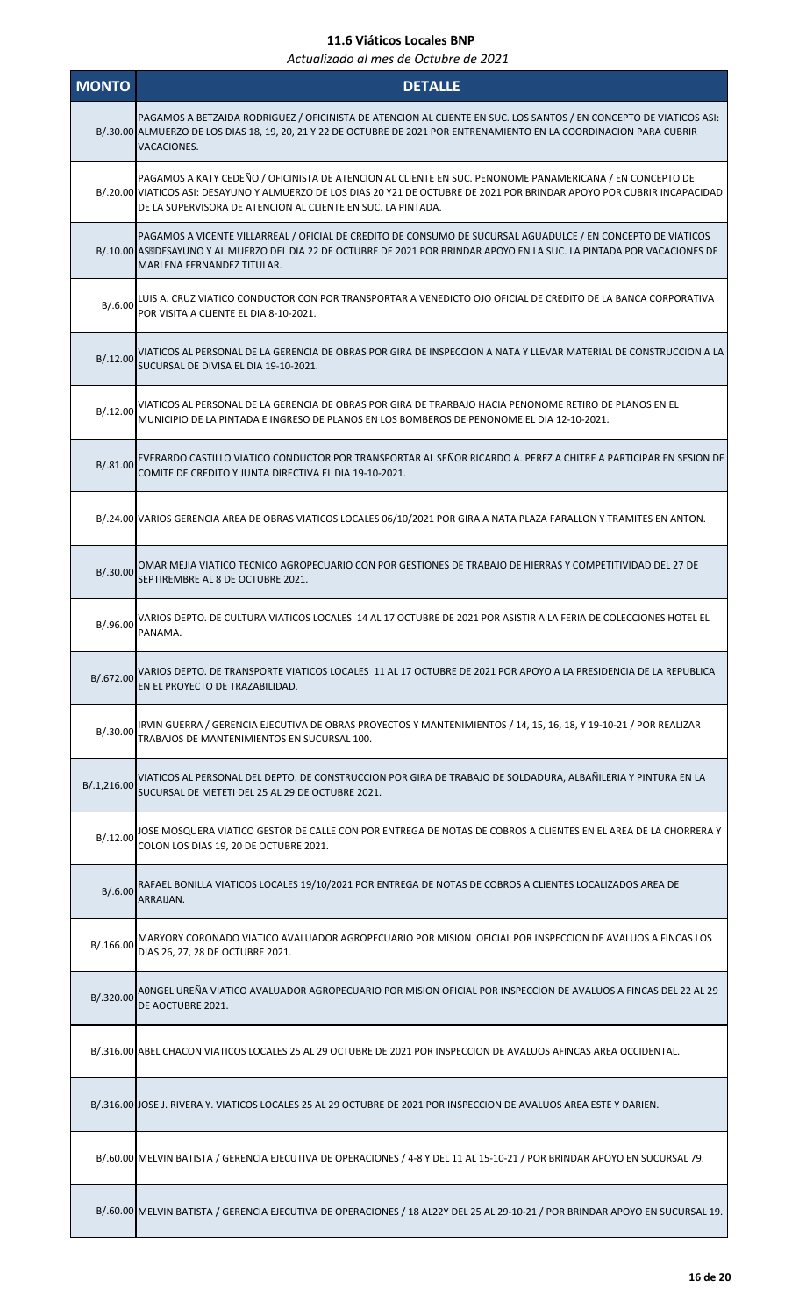| <b>MONTO</b> | <b>DETALLE</b>                                                                                                                                                                                                                                                                                        |
|--------------|-------------------------------------------------------------------------------------------------------------------------------------------------------------------------------------------------------------------------------------------------------------------------------------------------------|
|              | PAGAMOS A BETZAIDA RODRIGUEZ / OFICINISTA DE ATENCION AL CLIENTE EN SUC. LOS SANTOS / EN CONCEPTO DE VIATICOS ASI:<br>B/.30.00 ALMUERZO DE LOS DIAS 18, 19, 20, 21 Y 22 DE OCTUBRE DE 2021 POR ENTRENAMIENTO EN LA COORDINACION PARA CUBRIR<br>VACACIONES.                                            |
|              | PAGAMOS A KATY CEDEÑO / OFICINISTA DE ATENCION AL CLIENTE EN SUC. PENONOME PANAMERICANA / EN CONCEPTO DE<br>B/.20.00 VIATICOS ASI: DESAYUNO Y ALMUERZO DE LOS DIAS 20 Y21 DE OCTUBRE DE 2021 POR BRINDAR APOYO POR CUBRIR INCAPACIDAD<br>DE LA SUPERVISORA DE ATENCION AL CLIENTE EN SUC. LA PINTADA. |
|              | PAGAMOS A VICENTE VILLARREAL / OFICIAL DE CREDITO DE CONSUMO DE SUCURSAL AGUADULCE / EN CONCEPTO DE VIATICOS<br>B/.10.00 AS. DESAYUNO Y AL MUERZO DEL DIA 22 DE OCTUBRE DE 2021 POR BRINDAR APOYO EN LA SUC. LA PINTADA POR VACACIONES DE<br>MARLENA FERNANDEZ TITULAR.                               |
| B/.6.00      | LUIS A. CRUZ VIATICO CONDUCTOR CON POR TRANSPORTAR A VENEDICTO OJO OFICIAL DE CREDITO DE LA BANCA CORPORATIVA<br>POR VISITA A CLIENTE EL DIA 8-10-2021.                                                                                                                                               |
| B/.12.00     | VIATICOS AL PERSONAL DE LA GERENCIA DE OBRAS POR GIRA DE INSPECCION A NATA Y LLEVAR MATERIAL DE CONSTRUCCION A LA<br>SUCURSAL DE DIVISA EL DIA 19-10-2021.                                                                                                                                            |
| B/0.12.00    | VIATICOS AL PERSONAL DE LA GERENCIA DE OBRAS POR GIRA DE TRARBAJO HACIA PENONOME RETIRO DE PLANOS EN EL<br>MUNICIPIO DE LA PINTADA E INGRESO DE PLANOS EN LOS BOMBEROS DE PENONOME EL DIA 12-10-2021.                                                                                                 |
| B/.81.00     | EVERARDO CASTILLO VIATICO CONDUCTOR POR TRANSPORTAR AL SEÑOR RICARDO A. PEREZ A CHITRE A PARTICIPAR EN SESION DE<br>COMITE DE CREDITO Y JUNTA DIRECTIVA EL DIA 19-10-2021.                                                                                                                            |
|              | B/.24.00 VARIOS GERENCIA AREA DE OBRAS VIATICOS LOCALES 06/10/2021 POR GIRA A NATA PLAZA FARALLON Y TRAMITES EN ANTON.                                                                                                                                                                                |
| B/.30.00     | OMAR MEJIA VIATICO TECNICO AGROPECUARIO CON POR GESTIONES DE TRABAJO DE HIERRAS Y COMPETITIVIDAD DEL 27 DE<br>SEPTIREMBRE AL 8 DE OCTUBRE 2021.                                                                                                                                                       |
| B/.96.00     | VARIOS DEPTO. DE CULTURA VIATICOS LOCALES 14 AL 17 OCTUBRE DE 2021 POR ASISTIR A LA FERIA DE COLECCIONES HOTEL EL<br>PANAMA.                                                                                                                                                                          |
| B/.672.00    | VARIOS DEPTO. DE TRANSPORTE VIATICOS LOCALES 11 AL 17 OCTUBRE DE 2021 POR APOYO A LA PRESIDENCIA DE LA REPUBLICA<br>EN EL PROYECTO DE TRAZABILIDAD.                                                                                                                                                   |
| B/.30.00     | IRVIN GUERRA / GERENCIA EJECUTIVA DE OBRAS PROYECTOS Y MANTENIMIENTOS / 14, 15, 16, 18, Y 19-10-21 / POR REALIZAR<br>TRABAJOS DE MANTENIMIENTOS EN SUCURSAL 100.                                                                                                                                      |
| B/.1,216.00  | VIATICOS AL PERSONAL DEL DEPTO. DE CONSTRUCCION POR GIRA DE TRABAJO DE SOLDADURA, ALBAÑILERIA Y PINTURA EN LA<br>SUCURSAL DE METETI DEL 25 AL 29 DE OCTUBRE 2021.                                                                                                                                     |
| B/.12.00     | JOSE MOSQUERA VIATICO GESTOR DE CALLE CON POR ENTREGA DE NOTAS DE COBROS A CLIENTES EN EL AREA DE LA CHORRERA Y<br>COLON LOS DIAS 19, 20 DE OCTUBRE 2021.                                                                                                                                             |
| B/.6.00      | RAFAEL BONILLA VIATICOS LOCALES 19/10/2021 POR ENTREGA DE NOTAS DE COBROS A CLIENTES LOCALIZADOS AREA DE<br>ARRAIJAN.                                                                                                                                                                                 |
| B/.166.00    | MARYORY CORONADO VIATICO AVALUADOR AGROPECUARIO POR MISION OFICIAL POR INSPECCION DE AVALUOS A FINCAS LOS<br>DIAS 26, 27, 28 DE OCTUBRE 2021.                                                                                                                                                         |
| B/.320.00    | AONGEL UREÑA VIATICO AVALUADOR AGROPECUARIO POR MISION OFICIAL POR INSPECCION DE AVALUOS A FINCAS DEL 22 AL 29<br>DE AOCTUBRE 2021.                                                                                                                                                                   |
|              | B/.316.00 ABEL CHACON VIATICOS LOCALES 25 AL 29 OCTUBRE DE 2021 POR INSPECCION DE AVALUOS AFINCAS AREA OCCIDENTAL.                                                                                                                                                                                    |
|              | B/.316.00 JOSE J. RIVERA Y. VIATICOS LOCALES 25 AL 29 OCTUBRE DE 2021 POR INSPECCION DE AVALUOS AREA ESTE Y DARIEN.                                                                                                                                                                                   |
|              | B/.60.00 MELVIN BATISTA / GERENCIA EJECUTIVA DE OPERACIONES / 4-8 Y DEL 11 AL 15-10-21 / POR BRINDAR APOYO EN SUCURSAL 79.                                                                                                                                                                            |
|              | B/.60.00 MELVIN BATISTA / GERENCIA EJECUTIVA DE OPERACIONES / 18 AL22Y DEL 25 AL 29-10-21 / POR BRINDAR APOYO EN SUCURSAL 19.                                                                                                                                                                         |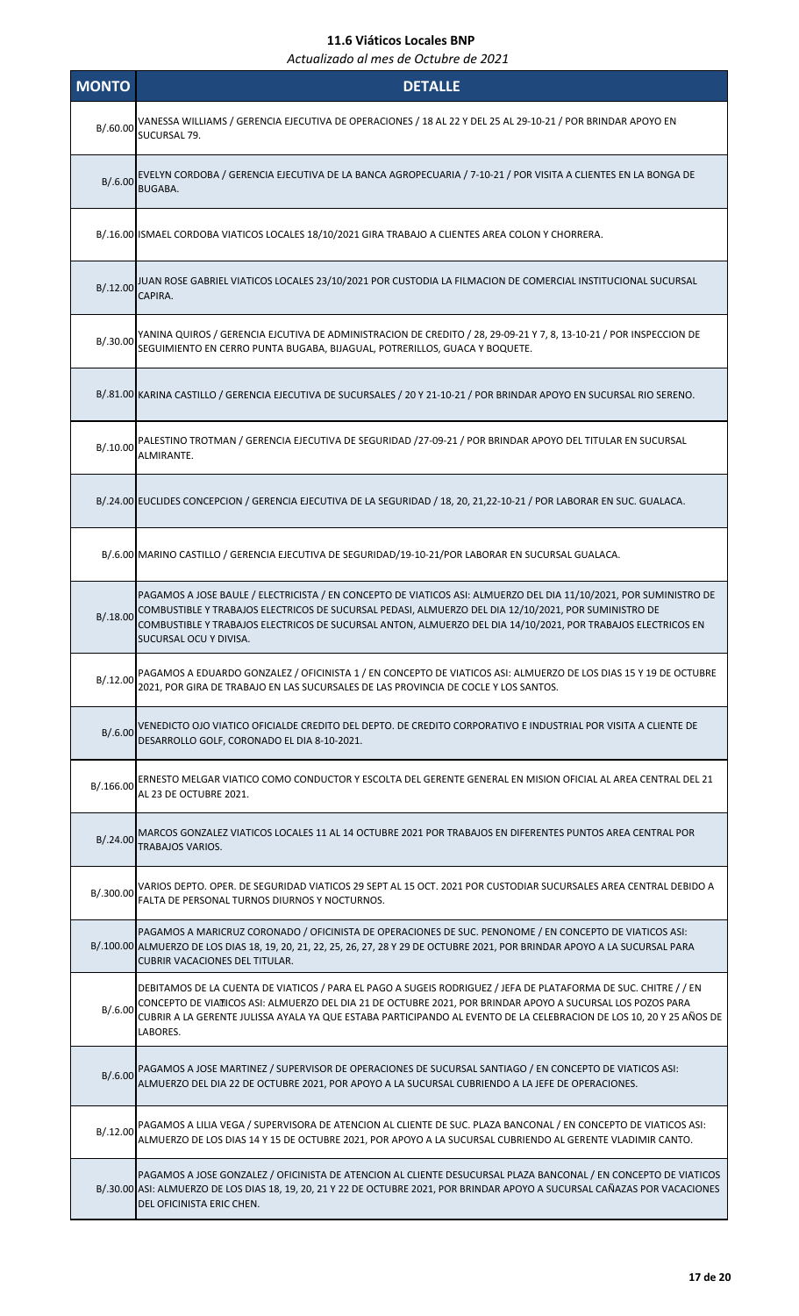| <b>MONTO</b> | <b>DETALLE</b>                                                                                                                                                                                                                                                                                                                                                      |
|--------------|---------------------------------------------------------------------------------------------------------------------------------------------------------------------------------------------------------------------------------------------------------------------------------------------------------------------------------------------------------------------|
|              | B/.60.00 VANESSA WILLIAMS / GERENCIA EJECUTIVA DE OPERACIONES / 18 AL 22 Y DEL 25 AL 29-10-21 / POR BRINDAR APOYO EN<br>SUCURSAL 79.                                                                                                                                                                                                                                |
| B/.6.00      | EVELYN CORDOBA / GERENCIA EJECUTIVA DE LA BANCA AGROPECUARIA / 7-10-21 / POR VISITA A CLIENTES EN LA BONGA DE<br><b>BUGABA.</b>                                                                                                                                                                                                                                     |
|              | B/.16.00 ISMAEL CORDOBA VIATICOS LOCALES 18/10/2021 GIRA TRABAJO A CLIENTES AREA COLON Y CHORRERA.                                                                                                                                                                                                                                                                  |
| B/.12.00     | JUAN ROSE GABRIEL VIATICOS LOCALES 23/10/2021 POR CUSTODIA LA FILMACION DE COMERCIAL INSTITUCIONAL SUCURSAL<br>CAPIRA.                                                                                                                                                                                                                                              |
| B/.30.00     | YANINA QUIROS / GERENCIA EJCUTIVA DE ADMINISTRACION DE CREDITO / 28, 29-09-21 Y 7, 8, 13-10-21 / POR INSPECCION DE<br>SEGUIMIENTO EN CERRO PUNTA BUGABA, BIJAGUAL, POTRERILLOS, GUACA Y BOQUETE.                                                                                                                                                                    |
|              | B/.81.00 KARINA CASTILLO / GERENCIA EJECUTIVA DE SUCURSALES / 20 Y 21-10-21 / POR BRINDAR APOYO EN SUCURSAL RIO SERENO.                                                                                                                                                                                                                                             |
| B/.10.00     | PALESTINO TROTMAN / GERENCIA EJECUTIVA DE SEGURIDAD /27-09-21 / POR BRINDAR APOYO DEL TITULAR EN SUCURSAL<br>ALMIRANTE.                                                                                                                                                                                                                                             |
|              | B/.24.00 EUCLIDES CONCEPCION / GERENCIA EJECUTIVA DE LA SEGURIDAD / 18, 20, 21,22-10-21 / POR LABORAR EN SUC. GUALACA.                                                                                                                                                                                                                                              |
|              | B/.6.00 MARINO CASTILLO / GERENCIA EJECUTIVA DE SEGURIDAD/19-10-21/POR LABORAR EN SUCURSAL GUALACA.                                                                                                                                                                                                                                                                 |
| B/0.18.00    | PAGAMOS A JOSE BAULE / ELECTRICISTA / EN CONCEPTO DE VIATICOS ASI: ALMUERZO DEL DIA 11/10/2021, POR SUMINISTRO DE<br>COMBUSTIBLE Y TRABAJOS ELECTRICOS DE SUCURSAL PEDASI, ALMUERZO DEL DIA 12/10/2021, POR SUMINISTRO DE<br>COMBUSTIBLE Y TRABAJOS ELECTRICOS DE SUCURSAL ANTON, ALMUERZO DEL DIA 14/10/2021, POR TRABAJOS ELECTRICOS EN<br>SUCURSAL OCU Y DIVISA. |
| B/.12.00     | PAGAMOS A EDUARDO GONZALEZ / OFICINISTA 1 / EN CONCEPTO DE VIATICOS ASI: ALMUERZO DE LOS DIAS 15 Y 19 DE OCTUBRE<br>2021, POR GIRA DE TRABAJO EN LAS SUCURSALES DE LAS PROVINCIA DE COCLE Y LOS SANTOS.                                                                                                                                                             |
| B/.6.00      | VENEDICTO OJO VIATICO OFICIALDE CREDITO DEL DEPTO. DE CREDITO CORPORATIVO E INDUSTRIAL POR VISITA A CLIENTE DE<br>DESARROLLO GOLF, CORONADO EL DIA 8-10-2021.                                                                                                                                                                                                       |
| B/.166.00    | ERNESTO MELGAR VIATICO COMO CONDUCTOR Y ESCOLTA DEL GERENTE GENERAL EN MISION OFICIAL AL AREA CENTRAL DEL 21<br>AL 23 DE OCTUBRE 2021.                                                                                                                                                                                                                              |
| B/.24.00     | MARCOS GONZALEZ VIATICOS LOCALES 11 AL 14 OCTUBRE 2021 POR TRABAJOS EN DIFERENTES PUNTOS AREA CENTRAL POR<br><b>TRABAJOS VARIOS.</b>                                                                                                                                                                                                                                |
| B/.300.00    | VARIOS DEPTO. OPER. DE SEGURIDAD VIATICOS 29 SEPT AL 15 OCT. 2021 POR CUSTODIAR SUCURSALES AREA CENTRAL DEBIDO A<br>FALTA DE PERSONAL TURNOS DIURNOS Y NOCTURNOS.                                                                                                                                                                                                   |
|              | PAGAMOS A MARICRUZ CORONADO / OFICINISTA DE OPERACIONES DE SUC. PENONOME / EN CONCEPTO DE VIATICOS ASI:<br>B/.100.00 ALMUERZO DE LOS DIAS 18, 19, 20, 21, 22, 25, 26, 27, 28 Y 29 DE OCTUBRE 2021, POR BRINDAR APOYO A LA SUCURSAL PARA<br><b>CUBRIR VACACIONES DEL TITULAR.</b>                                                                                    |
| B/.6.00      | DEBITAMOS DE LA CUENTA DE VIATICOS / PARA EL PAGO A SUGEIS RODRIGUEZ / JEFA DE PLATAFORMA DE SUC. CHITRE / / EN<br>CONCEPTO DE VIATICOS ASI: ALMUERZO DEL DIA 21 DE OCTUBRE 2021, POR BRINDAR APOYO A SUCURSAL LOS POZOS PARA<br>CUBRIR A LA GERENTE JULISSA AYALA YA QUE ESTABA PARTICIPANDO AL EVENTO DE LA CELEBRACION DE LOS 10, 20 Y 25 AÑOS DE<br>LABORES.    |
|              | B/.6.00 PAGAMOS A JOSE MARTINEZ / SUPERVISOR DE OPERACIONES DE SUCURSAL SANTIAGO / EN CONCEPTO DE VIATICOS ASI:<br>ALMUERZO DEL DIA 22 DE OCTUBRE 2021, POR APOYO A LA SUCURSAL CUBRIENDO A LA JEFE DE OPERACIONES.                                                                                                                                                 |
| B/0.12.00    | PAGAMOS A LILIA VEGA / SUPERVISORA DE ATENCION AL CLIENTE DE SUC. PLAZA BANCONAL / EN CONCEPTO DE VIATICOS ASI:<br>ALMUERZO DE LOS DIAS 14 Y 15 DE OCTUBRE 2021, POR APOYO A LA SUCURSAL CUBRIENDO AL GERENTE VLADIMIR CANTO.                                                                                                                                       |
|              | PAGAMOS A JOSE GONZALEZ / OFICINISTA DE ATENCION AL CLIENTE DESUCURSAL PLAZA BANCONAL / EN CONCEPTO DE VIATICOS<br>B/.30.00 ASI: ALMUERZO DE LOS DIAS 18, 19, 20, 21 Y 22 DE OCTUBRE 2021, POR BRINDAR APOYO A SUCURSAL CAÑAZAS POR VACACIONES<br>DEL OFICINISTA ERIC CHEN.                                                                                         |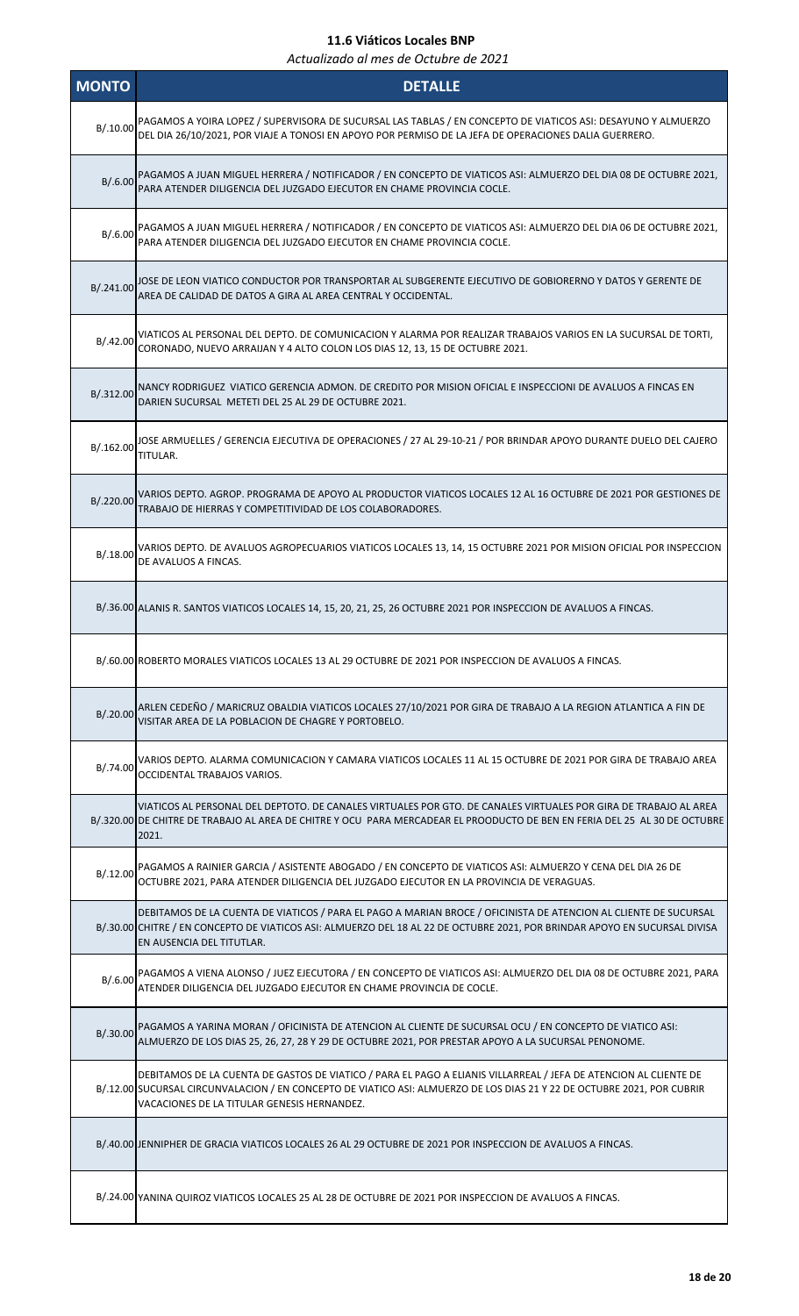| <b>MONTO</b> | <b>DETALLE</b>                                                                                                                                                                                                                                                                             |
|--------------|--------------------------------------------------------------------------------------------------------------------------------------------------------------------------------------------------------------------------------------------------------------------------------------------|
| B/.10.00     | PAGAMOS A YOIRA LOPEZ / SUPERVISORA DE SUCURSAL LAS TABLAS / EN CONCEPTO DE VIATICOS ASI: DESAYUNO Y ALMUERZO<br>DEL DIA 26/10/2021, POR VIAJE A TONOSI EN APOYO POR PERMISO DE LA JEFA DE OPERACIONES DALIA GUERRERO.                                                                     |
| B/.6.00      | PAGAMOS A JUAN MIGUEL HERRERA / NOTIFICADOR / EN CONCEPTO DE VIATICOS ASI: ALMUERZO DEL DIA 08 DE OCTUBRE 2021,<br>PARA ATENDER DILIGENCIA DEL JUZGADO EJECUTOR EN CHAME PROVINCIA COCLE.                                                                                                  |
| B/.6.00      | PAGAMOS A JUAN MIGUEL HERRERA / NOTIFICADOR / EN CONCEPTO DE VIATICOS ASI: ALMUERZO DEL DIA 06 DE OCTUBRE 2021,<br>PARA ATENDER DILIGENCIA DEL JUZGADO EJECUTOR EN CHAME PROVINCIA COCLE.                                                                                                  |
| B/.241.00    | JOSE DE LEON VIATICO CONDUCTOR POR TRANSPORTAR AL SUBGERENTE EJECUTIVO DE GOBIORERNO Y DATOS Y GERENTE DE<br>AREA DE CALIDAD DE DATOS A GIRA AL AREA CENTRAL Y OCCIDENTAL.                                                                                                                 |
| B/.42.00     | VIATICOS AL PERSONAL DEL DEPTO. DE COMUNICACION Y ALARMA POR REALIZAR TRABAJOS VARIOS EN LA SUCURSAL DE TORTI,<br>CORONADO, NUEVO ARRAIJAN Y 4 ALTO COLON LOS DIAS 12, 13, 15 DE OCTUBRE 2021.                                                                                             |
| B/.312.00    | NANCY RODRIGUEZ VIATICO GERENCIA ADMON. DE CREDITO POR MISION OFICIAL E INSPECCIONI DE AVALUOS A FINCAS EN<br>DARIEN SUCURSAL METETI DEL 25 AL 29 DE OCTUBRE 2021.                                                                                                                         |
| B/.162.00    | JOSE ARMUELLES / GERENCIA EJECUTIVA DE OPERACIONES / 27 AL 29-10-21 / POR BRINDAR APOYO DURANTE DUELO DEL CAJERO<br>TITULAR.                                                                                                                                                               |
| B/.220.00    | VARIOS DEPTO. AGROP. PROGRAMA DE APOYO AL PRODUCTOR VIATICOS LOCALES 12 AL 16 OCTUBRE DE 2021 POR GESTIONES DE<br>TRABAJO DE HIERRAS Y COMPETITIVIDAD DE LOS COLABORADORES.                                                                                                                |
| B/.18.00     | VARIOS DEPTO. DE AVALUOS AGROPECUARIOS VIATICOS LOCALES 13, 14, 15 OCTUBRE 2021 POR MISION OFICIAL POR INSPECCION<br>DE AVALUOS A FINCAS.                                                                                                                                                  |
|              | B/.36.00 ALANIS R. SANTOS VIATICOS LOCALES 14, 15, 20, 21, 25, 26 OCTUBRE 2021 POR INSPECCION DE AVALUOS A FINCAS.                                                                                                                                                                         |
|              | B/.60.00 ROBERTO MORALES VIATICOS LOCALES 13 AL 29 OCTUBRE DE 2021 POR INSPECCION DE AVALUOS A FINCAS.                                                                                                                                                                                     |
|              | B/.20.00 ARLEN CEDEÑO / MARICRUZ OBALDIA VIATICOS LOCALES 27/10/2021 POR GIRA DE TRABAJO A LA REGION ATLANTICA A FIN DE<br>VISITAR AREA DE LA POBLACION DE CHAGRE Y PORTOBELO.                                                                                                             |
| B/.74.00     | VARIOS DEPTO. ALARMA COMUNICACION Y CAMARA VIATICOS LOCALES 11 AL 15 OCTUBRE DE 2021 POR GIRA DE TRABAJO AREA<br>OCCIDENTAL TRABAJOS VARIOS.                                                                                                                                               |
|              | VIATICOS AL PERSONAL DEL DEPTOTO. DE CANALES VIRTUALES POR GTO. DE CANALES VIRTUALES POR GIRA DE TRABAJO AL AREA<br>B/.320.00 DE CHITRE DE TRABAJO AL AREA DE CHITRE Y OCU PARA MERCADEAR EL PROODUCTO DE BEN EN FERIA DEL 25 AL 30 DE OCTUBRE<br>2021.                                    |
| B/.12.00     | PAGAMOS A RAINIER GARCIA / ASISTENTE ABOGADO / EN CONCEPTO DE VIATICOS ASI: ALMUERZO Y CENA DEL DIA 26 DE<br>OCTUBRE 2021, PARA ATENDER DILIGENCIA DEL JUZGADO EJECUTOR EN LA PROVINCIA DE VERAGUAS.                                                                                       |
|              | DEBITAMOS DE LA CUENTA DE VIATICOS / PARA EL PAGO A MARIAN BROCE / OFICINISTA DE ATENCION AL CLIENTE DE SUCURSAL<br>B/.30.00 CHITRE / EN CONCEPTO DE VIATICOS ASI: ALMUERZO DEL 18 AL 22 DE OCTUBRE 2021, POR BRINDAR APOYO EN SUCURSAL DIVISA<br>EN AUSENCIA DEL TITUTLAR.                |
|              | B/.6.00 PAGAMOS A VIENA ALONSO / JUEZ EJECUTORA / EN CONCEPTO DE VIATICOS ASI: ALMUERZO DEL DIA 08 DE OCTUBRE 2021, PARA<br>ATENDER DILIGENCIA DEL JUZGADO EJECUTOR EN CHAME PROVINCIA DE COCLE.                                                                                           |
| B/.30.00     | PAGAMOS A YARINA MORAN / OFICINISTA DE ATENCION AL CLIENTE DE SUCURSAL OCU / EN CONCEPTO DE VIATICO ASI:<br>ALMUERZO DE LOS DIAS 25, 26, 27, 28 Y 29 DE OCTUBRE 2021, POR PRESTAR APOYO A LA SUCURSAL PENONOME.                                                                            |
|              | DEBITAMOS DE LA CUENTA DE GASTOS DE VIATICO / PARA EL PAGO A ELIANIS VILLARREAL / JEFA DE ATENCION AL CLIENTE DE<br>B/.12.00 SUCURSAL CIRCUNVALACION / EN CONCEPTO DE VIATICO ASI: ALMUERZO DE LOS DIAS 21 Y 22 DE OCTUBRE 2021, POR CUBRIR<br>VACACIONES DE LA TITULAR GENESIS HERNANDEZ. |
|              | B/.40.00 JENNIPHER DE GRACIA VIATICOS LOCALES 26 AL 29 OCTUBRE DE 2021 POR INSPECCION DE AVALUOS A FINCAS.                                                                                                                                                                                 |
|              | B/.24.00 YANINA QUIROZ VIATICOS LOCALES 25 AL 28 DE OCTUBRE DE 2021 POR INSPECCION DE AVALUOS A FINCAS.                                                                                                                                                                                    |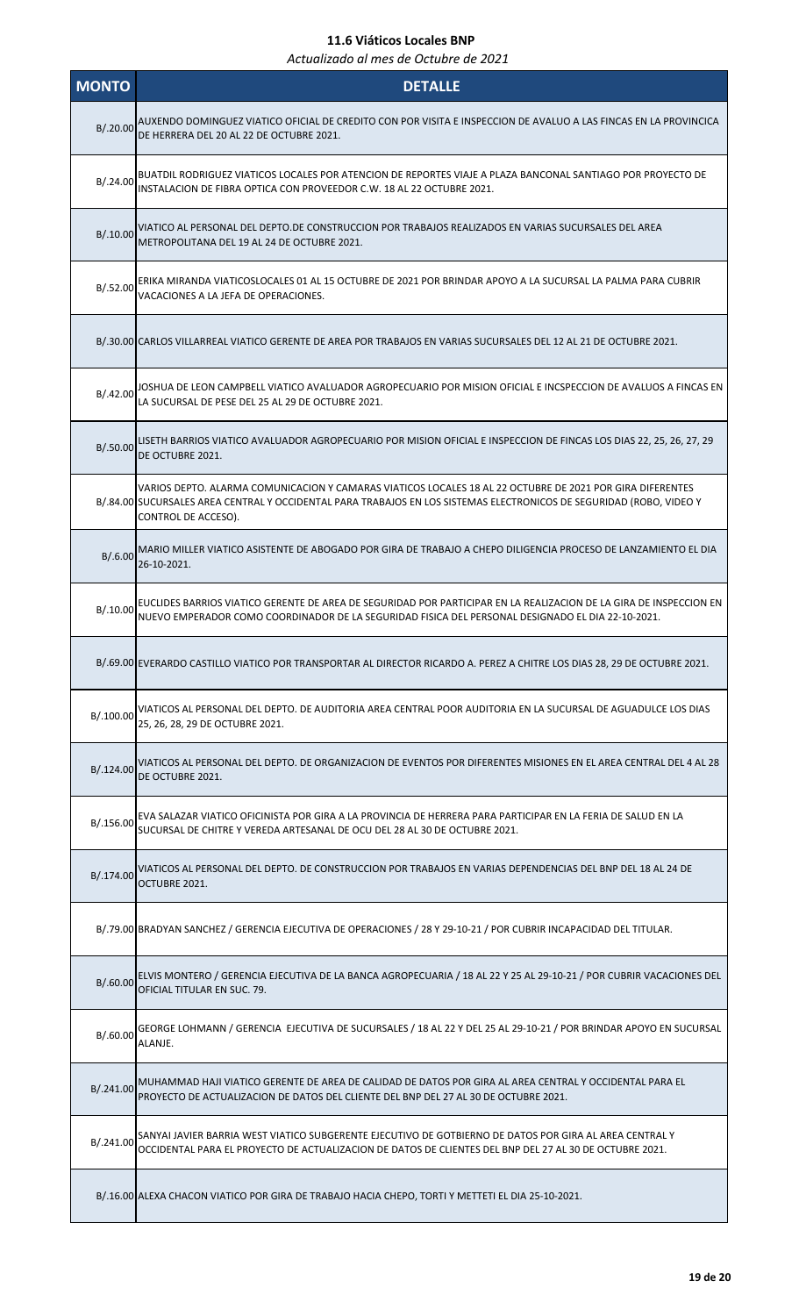| <b>MONTO</b> | <b>DETALLE</b>                                                                                                                                                                                                                                           |
|--------------|----------------------------------------------------------------------------------------------------------------------------------------------------------------------------------------------------------------------------------------------------------|
| B/.20.00     | AUXENDO DOMINGUEZ VIATICO OFICIAL DE CREDITO CON POR VISITA E INSPECCION DE AVALUO A LAS FINCAS EN LA PROVINCICA<br>DE HERRERA DEL 20 AL 22 DE OCTUBRE 2021.                                                                                             |
| B/.24.00     | BUATDIL RODRIGUEZ VIATICOS LOCALES POR ATENCION DE REPORTES VIAJE A PLAZA BANCONAL SANTIAGO POR PROYECTO DE<br>INSTALACION DE FIBRA OPTICA CON PROVEEDOR C.W. 18 AL 22 OCTUBRE 2021.                                                                     |
| B/0.00       | VIATICO AL PERSONAL DEL DEPTO.DE CONSTRUCCION POR TRABAJOS REALIZADOS EN VARIAS SUCURSALES DEL AREA<br>METROPOLITANA DEL 19 AL 24 DE OCTUBRE 2021.                                                                                                       |
| B/.52.00     | ERIKA MIRANDA VIATICOSLOCALES 01 AL 15 OCTUBRE DE 2021 POR BRINDAR APOYO A LA SUCURSAL LA PALMA PARA CUBRIR<br>VACACIONES A LA JEFA DE OPERACIONES.                                                                                                      |
|              | B/.30.00 CARLOS VILLARREAL VIATICO GERENTE DE AREA POR TRABAJOS EN VARIAS SUCURSALES DEL 12 AL 21 DE OCTUBRE 2021.                                                                                                                                       |
| B/0.42.00    | JOSHUA DE LEON CAMPBELL VIATICO AVALUADOR AGROPECUARIO POR MISION OFICIAL E INCSPECCION DE AVALUOS A FINCAS EN<br>LA SUCURSAL DE PESE DEL 25 AL 29 DE OCTUBRE 2021.                                                                                      |
| B/.50.00     | LISETH BARRIOS VIATICO AVALUADOR AGROPECUARIO POR MISION OFICIAL E INSPECCION DE FINCAS LOS DIAS 22, 25, 26, 27, 29<br>DE OCTUBRE 2021.                                                                                                                  |
|              | VARIOS DEPTO. ALARMA COMUNICACION Y CAMARAS VIATICOS LOCALES 18 AL 22 OCTUBRE DE 2021 POR GIRA DIFERENTES<br>B/.84.00 SUCURSALES AREA CENTRAL Y OCCIDENTAL PARA TRABAJOS EN LOS SISTEMAS ELECTRONICOS DE SEGURIDAD (ROBO, VIDEO Y<br>CONTROL DE ACCESO). |
| B/.6.00      | MARIO MILLER VIATICO ASISTENTE DE ABOGADO POR GIRA DE TRABAJO A CHEPO DILIGENCIA PROCESO DE LANZAMIENTO EL DIA<br>26-10-2021.                                                                                                                            |
| B/0.00       | EUCLIDES BARRIOS VIATICO GERENTE DE AREA DE SEGURIDAD POR PARTICIPAR EN LA REALIZACION DE LA GIRA DE INSPECCION EN<br>NUEVO EMPERADOR COMO COORDINADOR DE LA SEGURIDAD FISICA DEL PERSONAL DESIGNADO EL DIA 22-10-2021.                                  |
|              | B/.69.00 EVERARDO CASTILLO VIATICO POR TRANSPORTAR AL DIRECTOR RICARDO A. PEREZ A CHITRE LOS DIAS 28, 29 DE OCTUBRE 2021.                                                                                                                                |
| B/.100.00    | VIATICOS AL PERSONAL DEL DEPTO. DE AUDITORIA AREA CENTRAL POOR AUDITORIA EN LA SUCURSAL DE AGUADULCE LOS DIAS<br>25, 26, 28, 29 DE OCTUBRE 2021.                                                                                                         |
| B/.124.00    | VIATICOS AL PERSONAL DEL DEPTO. DE ORGANIZACION DE EVENTOS POR DIFERENTES MISIONES EN EL AREA CENTRAL DEL 4 AL 28<br>DE OCTUBRE 2021.                                                                                                                    |
| B/.156.00    | EVA SALAZAR VIATICO OFICINISTA POR GIRA A LA PROVINCIA DE HERRERA PARA PARTICIPAR EN LA FERIA DE SALUD EN LA<br>SUCURSAL DE CHITRE Y VEREDA ARTESANAL DE OCU DEL 28 AL 30 DE OCTUBRE 2021.                                                               |
| B/.174.00    | VIATICOS AL PERSONAL DEL DEPTO. DE CONSTRUCCION POR TRABAJOS EN VARIAS DEPENDENCIAS DEL BNP DEL 18 AL 24 DE<br>OCTUBRE 2021.                                                                                                                             |
|              | B/.79.00 BRADYAN SANCHEZ / GERENCIA EJECUTIVA DE OPERACIONES / 28 Y 29-10-21 / POR CUBRIR INCAPACIDAD DEL TITULAR.                                                                                                                                       |
| B/.60.00     | ELVIS MONTERO / GERENCIA EJECUTIVA DE LA BANCA AGROPECUARIA / 18 AL 22 Y 25 AL 29-10-21 / POR CUBRIR VACACIONES DEL<br>OFICIAL TITULAR EN SUC. 79.                                                                                                       |
| B/.60.00     | GEORGE LOHMANN / GERENCIA EJECUTIVA DE SUCURSALES / 18 AL 22 Y DEL 25 AL 29-10-21 / POR BRINDAR APOYO EN SUCURSAL<br>ALANJE.                                                                                                                             |
| B/.241.00    | MUHAMMAD HAJI VIATICO GERENTE DE AREA DE CALIDAD DE DATOS POR GIRA AL AREA CENTRAL Y OCCIDENTAL PARA EL<br>PROYECTO DE ACTUALIZACION DE DATOS DEL CLIENTE DEL BNP DEL 27 AL 30 DE OCTUBRE 2021.                                                          |
| B/.241.00    | SANYAI JAVIER BARRIA WEST VIATICO SUBGERENTE EJECUTIVO DE GOTBIERNO DE DATOS POR GIRA AL AREA CENTRAL Y<br>OCCIDENTAL PARA EL PROYECTO DE ACTUALIZACION DE DATOS DE CLIENTES DEL BNP DEL 27 AL 30 DE OCTUBRE 2021.                                       |
|              | B/.16.00 ALEXA CHACON VIATICO POR GIRA DE TRABAJO HACIA CHEPO, TORTI Y METTETI EL DIA 25-10-2021.                                                                                                                                                        |